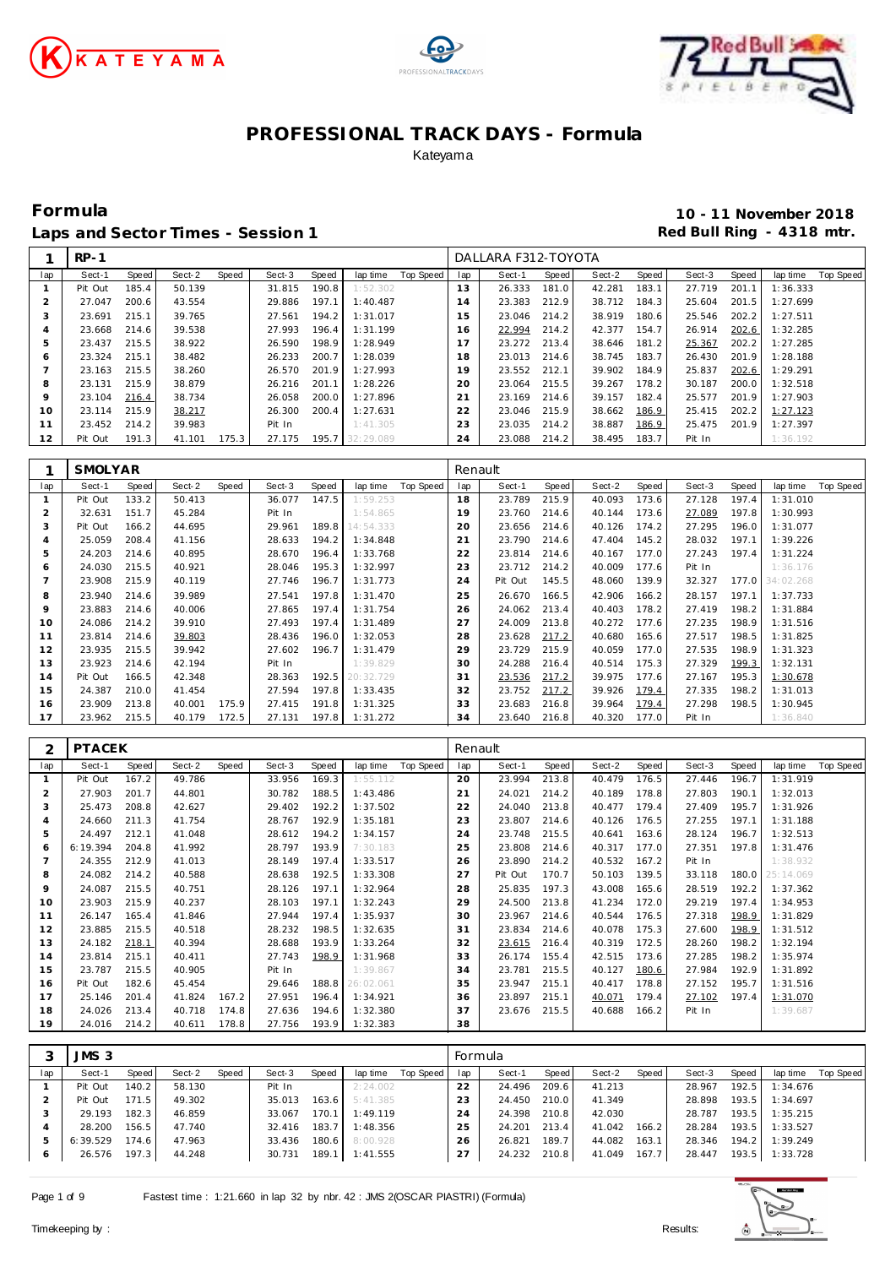





**Formula 10 - 11 November 2018** Laps and Sector Times - Session 1 **Red Bull Ring - 4318 mtr. Red Bull Ring - 4318 mtr.** 

|              | $RP-1$  |       |        |       |        |       |           |           |     | DALLARA F312-TOYOTA |       |        |       |        |       |          |           |
|--------------|---------|-------|--------|-------|--------|-------|-----------|-----------|-----|---------------------|-------|--------|-------|--------|-------|----------|-----------|
| lap          | Sect-1  | Speed | Sect-2 | Speed | Sect-3 | Speed | lap time  | Top Speed | lap | Sect-1              | Speed | Sect-2 | Speed | Sect-3 | Speed | lap time | Top Speed |
|              | Pit Out | 185.4 | 50.139 |       | 31.815 | 190.8 | 1:52.302  |           | 13  | 26.333              | 181.0 | 42.281 | 183.1 | 27.719 | 201.1 | 1:36.333 |           |
|              | 27.047  | 200.6 | 43.554 |       | 29.886 | 197.1 | 1:40.487  |           | 14  | 23.383              | 212.9 | 38.712 | 184.3 | 25.604 | 201.5 | 1:27.699 |           |
| -1           | 23.691  | 215.1 | 39.765 |       | 27.561 | 194.2 | 1:31.017  |           | 15  | 23.046              | 214.2 | 38.919 | 180.6 | 25.546 | 202.2 | 1:27.511 |           |
|              | 23.668  | 214.6 | 39.538 |       | 27.993 | 196.4 | 1:31.199  |           | 16  | 22.994              | 214.2 | 42.377 | 154.7 | 26.914 | 202.6 | 1:32.285 |           |
| 5            | 23.437  | 215.5 | 38.922 |       | 26.590 | 198.9 | 1:28.949  |           | 17  | 23.272              | 213.4 | 38.646 | 181.2 | 25.367 | 202.2 | 1:27.285 |           |
| <sub>6</sub> | 23.324  | 215.1 | 38.482 |       | 26.233 | 200.7 | 1:28.039  |           | 18  | 23.013              | 214.6 | 38.745 | 183.7 | 26.430 | 201.9 | 1:28.188 |           |
|              | 23.163  | 215.5 | 38.260 |       | 26.570 | 201.9 | 1:27.993  |           | 19  | 23.552              | 212.1 | 39.902 | 184.9 | 25.837 | 202.6 | 1:29.291 |           |
| 8            | 23.131  | 215.9 | 38.879 |       | 26.216 | 201.1 | 1:28.226  |           | 20  | 23.064              | 215.5 | 39.267 | 178.2 | 30.187 | 200.0 | 1:32.518 |           |
| 9            | 23.104  | 216.4 | 38.734 |       | 26.058 | 200.0 | 1:27.896  |           | 21  | 23.169              | 214.6 | 39.157 | 182.4 | 25.577 | 201.9 | 1:27.903 |           |
| 10           | 23.114  | 215.9 | 38.217 |       | 26.300 | 200.4 | 1:27.631  |           | 22  | 23.046              | 215.9 | 38.662 | 186.9 | 25.415 | 202.2 | 1:27.123 |           |
|              | 23.452  | 214.2 | 39.983 |       | Pit In |       | 1:41.305  |           | 23  | 23.035              | 214.2 | 38.887 | 186.9 | 25.475 | 201.9 | 1:27.397 |           |
| 12           | Pit Out | 191.3 | 41.101 | 175.3 | 27.175 | 195.7 | 32:29.089 |           | 24  | 23.088              | 214.2 | 38.495 | 183.7 | Pit In |       | 1:36.192 |           |

|                | SMOLYAR |       |        |       |        |       |           |           | Renault |         |       |        |       |        |              |                 |                  |
|----------------|---------|-------|--------|-------|--------|-------|-----------|-----------|---------|---------|-------|--------|-------|--------|--------------|-----------------|------------------|
| lap            | Sect-1  | Speed | Sect-2 | Speed | Sect-3 | Speed | lap time  | Top Speed | lap     | Sect-1  | Speed | Sect-2 | Speed | Sect-3 | <b>Speed</b> | lap time        | <b>Top Speed</b> |
|                | Pit Out | 133.2 | 50.413 |       | 36.077 | 147.5 | 1:59.253  |           | 18      | 23.789  | 215.9 | 40.093 | 173.6 | 27.128 | 197.4        | 1:31.010        |                  |
| $\overline{2}$ | 32.631  | 151.7 | 45.284 |       | Pit In |       | 1:54.865  |           | 19      | 23.760  | 214.6 | 40.144 | 173.6 | 27.089 | 197.8        | 1:30.993        |                  |
| 3              | Pit Out | 166.2 | 44.695 |       | 29.961 | 189.8 | 14:54.333 |           | 20      | 23.656  | 214.6 | 40.126 | 174.2 | 27.295 | 196.0        | 1:31.077        |                  |
| $\overline{4}$ | 25.059  | 208.4 | 41.156 |       | 28.633 | 194.2 | 1:34.848  |           | 21      | 23.790  | 214.6 | 47.404 | 145.2 | 28.032 | 197.1        | 1:39.226        |                  |
| 5              | 24.203  | 214.6 | 40.895 |       | 28.670 | 196.4 | 1:33.768  |           | 22      | 23.814  | 214.6 | 40.167 | 177.0 | 27.243 | 197.4        | 1:31.224        |                  |
| 6              | 24.030  | 215.5 | 40.921 |       | 28.046 | 195.3 | 1:32.997  |           | 23      | 23.712  | 214.2 | 40.009 | 177.6 | Pit In |              | 1:36.176        |                  |
|                | 23.908  | 215.9 | 40.119 |       | 27.746 | 196.7 | 1:31.773  |           | 24      | Pit Out | 145.5 | 48.060 | 139.9 | 32.327 |              | 177.0 34:02.268 |                  |
| 8              | 23.940  | 214.6 | 39.989 |       | 27.541 | 197.8 | 1:31.470  |           | 25      | 26.670  | 166.5 | 42.906 | 166.2 | 28.157 | 197.1        | 1:37.733        |                  |
| $\circ$        | 23.883  | 214.6 | 40.006 |       | 27.865 | 197.4 | 1:31.754  |           | 26      | 24.062  | 213.4 | 40.403 | 178.2 | 27.419 | 198.2        | 1:31.884        |                  |
| 10             | 24.086  | 214.2 | 39.910 |       | 27.493 | 197.4 | 1:31.489  |           | 27      | 24.009  | 213.8 | 40.272 | 177.6 | 27.235 | 198.9        | 1:31.516        |                  |
| 11             | 23.814  | 214.6 | 39.803 |       | 28.436 | 196.0 | 1:32.053  |           | 28      | 23.628  | 217.2 | 40.680 | 165.6 | 27.517 | 198.5        | 1:31.825        |                  |
| 12             | 23.935  | 215.5 | 39.942 |       | 27.602 | 196.7 | 1:31.479  |           | 29      | 23.729  | 215.9 | 40.059 | 177.0 | 27.535 | 198.9        | 1:31.323        |                  |
| 13             | 23.923  | 214.6 | 42.194 |       | Pit In |       | 1:39.829  |           | 30      | 24.288  | 216.4 | 40.514 | 175.3 | 27.329 | 199.3        | 1:32.131        |                  |
| 14             | Pit Out | 166.5 | 42.348 |       | 28.363 | 192.5 | 20:32.729 |           | 31      | 23.536  | 217.2 | 39.975 | 177.6 | 27.167 | 195.3        | 1:30.678        |                  |
| 15             | 24.387  | 210.0 | 41.454 |       | 27.594 | 197.8 | 1:33.435  |           | 32      | 23.752  | 217.2 | 39.926 | 179.4 | 27.335 | 198.2        | 1:31.013        |                  |
| 16             | 23.909  | 213.8 | 40.001 | 175.9 | 27.415 | 191.8 | 1:31.325  |           | 33      | 23.683  | 216.8 | 39.964 | 179.4 | 27.298 | 198.5        | 1:30.945        |                  |
| 17             | 23.962  | 215.5 | 40.179 | 172.5 | 27.131 | 197.8 | 1:31.272  |           | 34      | 23.640  | 216.8 | 40.320 | 177.0 | Pit In |              | 1:36.840        |                  |

| 2              | <b>PTACEK</b> |              |        |       |        |       |           |           | Renault |         |       |        |       |        |       |           |           |
|----------------|---------------|--------------|--------|-------|--------|-------|-----------|-----------|---------|---------|-------|--------|-------|--------|-------|-----------|-----------|
| lap            | Sect-1        | <b>Speed</b> | Sect-2 | Speed | Sect-3 | Speed | lap time  | Top Speed | lap     | Sect-1  | Speed | Sect-2 | Speed | Sect-3 | Speed | lap time  | Top Speed |
|                | Pit Out       | 167.2        | 49.786 |       | 33.956 | 169.3 | 1:55.112  |           | 20      | 23.994  | 213.8 | 40.479 | 176.5 | 27.446 | 196.7 | 1:31.919  |           |
| $\overline{2}$ | 27.903        | 201.7        | 44.801 |       | 30.782 | 188.5 | 1:43.486  |           | 21      | 24.021  | 214.2 | 40.189 | 178.8 | 27.803 | 190.1 | 1:32.013  |           |
| 3              | 25.473        | 208.8        | 42.627 |       | 29.402 | 192.2 | 1:37.502  |           | 22      | 24.040  | 213.8 | 40.477 | 179.4 | 27.409 | 195.7 | 1:31.926  |           |
| $\overline{4}$ | 24.660        | 211.3        | 41.754 |       | 28.767 | 192.9 | 1:35.181  |           | 23      | 23.807  | 214.6 | 40.126 | 176.5 | 27.255 | 197.1 | 1:31.188  |           |
| 5              | 24.497        | 212.1        | 41.048 |       | 28.612 | 194.2 | 1:34.157  |           | 24      | 23.748  | 215.5 | 40.641 | 163.6 | 28.124 | 196.7 | 1:32.513  |           |
| 6              | 6:19.394      | 204.8        | 41.992 |       | 28.797 | 193.9 | 7:30.183  |           | 25      | 23.808  | 214.6 | 40.317 | 177.0 | 27.351 | 197.8 | 1:31.476  |           |
|                | 24.355        | 212.9        | 41.013 |       | 28.149 | 197.4 | 1:33.517  |           | 26      | 23.890  | 214.2 | 40.532 | 167.2 | Pit In |       | 1:38.932  |           |
| 8              | 24.082        | 214.2        | 40.588 |       | 28.638 | 192.5 | 1:33.308  |           | 27      | Pit Out | 170.7 | 50.103 | 139.5 | 33.118 | 180.0 | 25:14.069 |           |
| 9              | 24.087        | 215.5        | 40.751 |       | 28.126 | 197.1 | 1:32.964  |           | 28      | 25.835  | 197.3 | 43.008 | 165.6 | 28.519 | 192.2 | 1:37.362  |           |
| 10             | 23.903        | 215.9        | 40.237 |       | 28.103 | 197.1 | 1:32.243  |           | 29      | 24.500  | 213.8 | 41.234 | 172.0 | 29.219 | 197.4 | 1:34.953  |           |
| 11             | 26.147        | 165.4        | 41.846 |       | 27.944 | 197.4 | 1:35.937  |           | 30      | 23.967  | 214.6 | 40.544 | 176.5 | 27.318 | 198.9 | 1:31.829  |           |
| 12             | 23.885        | 215.5        | 40.518 |       | 28.232 | 198.5 | 1:32.635  |           | 31      | 23.834  | 214.6 | 40.078 | 175.3 | 27.600 | 198.9 | 1:31.512  |           |
| 13             | 24.182        | 218.1        | 40.394 |       | 28.688 | 193.9 | 1:33.264  |           | 32      | 23.615  | 216.4 | 40.319 | 172.5 | 28.260 | 198.2 | 1:32.194  |           |
| 14             | 23.814        | 215.1        | 40.411 |       | 27.743 | 198.9 | 1:31.968  |           | 33      | 26.174  | 155.4 | 42.515 | 173.6 | 27.285 | 198.2 | 1:35.974  |           |
| 15             | 23.787        | 215.5        | 40.905 |       | Pit In |       | 1:39.867  |           | 34      | 23.781  | 215.5 | 40.127 | 180.6 | 27.984 | 192.9 | 1:31.892  |           |
| 16             | Pit Out       | 182.6        | 45.454 |       | 29.646 | 188.8 | 26:02.061 |           | 35      | 23.947  | 215.1 | 40.417 | 178.8 | 27.152 | 195.7 | 1:31.516  |           |
| 17             | 25.146        | 201.4        | 41.824 | 167.2 | 27.951 | 196.4 | 1:34.921  |           | 36      | 23.897  | 215.1 | 40.071 | 179.4 | 27.102 | 197.4 | 1:31.070  |           |
| 18             | 24.026        | 213.4        | 40.718 | 174.8 | 27.636 | 194.6 | 1:32.380  |           | 37      | 23.676  | 215.5 | 40.688 | 166.2 | Pit In |       | 1:39.687  |           |
| 19             | 24.016        | 214.2        | 40.611 | 178.8 | 27.756 | 193.9 | 1:32.383  |           | 38      |         |       |        |       |        |       |           |           |

|     | JMS 3    |       |        |       |        |       |                |           | Formula |        |       |        |       |        |       |          |           |
|-----|----------|-------|--------|-------|--------|-------|----------------|-----------|---------|--------|-------|--------|-------|--------|-------|----------|-----------|
| lap | Sect-1   | Speed | Sect-2 | Speed | Sect-3 | Speed | lap time       | Top Speed | lap     | Sect-1 | Speed | Sect-2 | Speed | Sect-3 | Speed | lap time | Top Speed |
|     | Pit Out  | 140.2 | 58.130 |       | Pit In |       | 2:24.002       |           | 22      | 24.496 | 209.6 | 41.213 |       | 28.967 | 192.5 | 1:34.676 |           |
|     | Pit Out  | 171.5 | 49.302 |       | 35.013 | 163.6 | 5:41.385       |           | 23      | 24.450 | 210.0 | 41.349 |       | 28.898 | 193.5 | 1:34.697 |           |
|     | 29.193   | 182.3 | 46.859 |       | 33.067 | 170.1 | 1:49.119       |           | 24      | 24.398 | 210.8 | 42.030 |       | 28.787 | 193.5 | 1:35.215 |           |
|     | 28,200   | 156.5 | 47.740 |       | 32.416 | 183.7 | 1:48.356       |           | 25      | 24.201 | 213.4 | 41.042 | 166.2 | 28.284 | 193.5 | 1:33.527 |           |
|     | 6:39.529 | 174.6 | 47.963 |       | 33.436 | 180.6 | 8:00.928       |           | 26      | 26.821 | 189.7 | 44.082 | 163.1 | 28.346 | 194.2 | 1:39.249 |           |
| 6   | 26.576   | 197.3 | 44.248 |       | 30.731 |       | 189.1 1:41.555 |           | 27      | 24.232 | 210.8 | 41.049 | 167.7 | 28.447 | 193.5 | 1:33.728 |           |

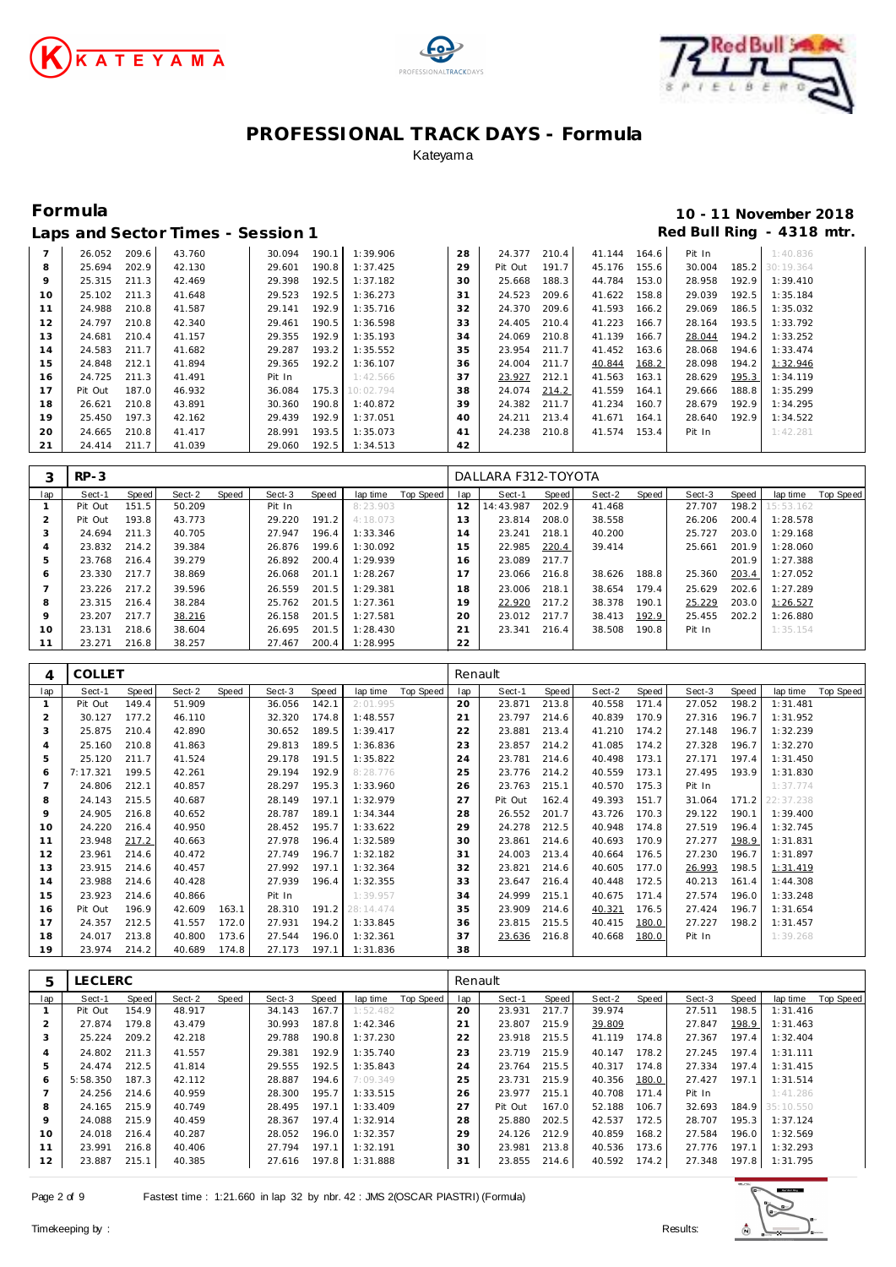





### **Formula 10 - 11 November 2018** Red Bull Ring - 4318 mtr.

| Lans and Sector Times - Session 1 |  |  |
|-----------------------------------|--|--|

|                |              |       |        | - - - - - - - - |       |           |    |         |       |        |       |        |       |                 |  |
|----------------|--------------|-------|--------|-----------------|-------|-----------|----|---------|-------|--------|-------|--------|-------|-----------------|--|
| $\overline{7}$ | 26.052       | 209.6 | 43.760 | 30.094          | 190.1 | 1:39.906  | 28 | 24.377  | 210.4 | 41.144 | 164.6 | Pit In |       | 1:40.836        |  |
| 8              | 25.694       | 202.9 | 42.130 | 29.601          | 190.8 | 1:37.425  | 29 | Pit Out | 191.7 | 45.176 | 155.6 | 30.004 |       | 185.2 30:19.364 |  |
| 9              | 25.315       | 211.3 | 42.469 | 29.398          | 192.5 | 1:37.182  | 30 | 25.668  | 188.3 | 44.784 | 153.0 | 28.958 | 192.9 | 1:39.410        |  |
| 10             | 25.102 211.3 |       | 41.648 | 29.523          | 192.5 | 1:36.273  | 31 | 24.523  | 209.6 | 41.622 | 158.8 | 29.039 | 192.5 | 1:35.184        |  |
| 11             | 24.988       | 210.8 | 41.587 | 29.141          | 192.9 | 1:35.716  | 32 | 24.370  | 209.6 | 41.593 | 166.2 | 29.069 | 186.5 | 1:35.032        |  |
| 12             | 24.797       | 210.8 | 42.340 | 29.461          | 190.5 | 1:36.598  | 33 | 24.405  | 210.4 | 41.223 | 166.7 | 28.164 | 193.5 | 1:33.792        |  |
| 13             | 24.681       | 210.4 | 41.157 | 29.355          | 192.9 | 1:35.193  | 34 | 24.069  | 210.8 | 41.139 | 166.7 | 28.044 | 194.2 | 1:33.252        |  |
| 14             | 24.583       | 211.7 | 41.682 | 29.287          | 193.2 | 1:35.552  | 35 | 23.954  | 211.7 | 41.452 | 163.6 | 28.068 | 194.6 | 1:33.474        |  |
| 15             | 24.848       | 212.1 | 41.894 | 29.365          | 192.2 | 1:36.107  | 36 | 24.004  | 211.7 | 40.844 | 168.2 | 28.098 | 194.2 | 1:32.946        |  |
| 16             | 24.725       | 211.3 | 41.491 | Pit In          |       | 1:42.566  | 37 | 23.927  | 212.1 | 41.563 | 163.1 | 28.629 | 195.3 | 1:34.119        |  |
| 17             | Pit Out      | 187.0 | 46.932 | 36.084          | 175.3 | 10:02.794 | 38 | 24.074  | 214.2 | 41.559 | 164.1 | 29.666 | 188.8 | 1:35.299        |  |
| 18             | 26.621       | 210.8 | 43.891 | 30.360          | 190.8 | 1:40.872  | 39 | 24.382  | 211.7 | 41.234 | 160.7 | 28.679 | 192.9 | 1:34.295        |  |
| 19             | 25.450       | 197.3 | 42.162 | 29.439          | 192.9 | 1:37.051  | 40 | 24.211  | 213.4 | 41.671 | 164.1 | 28.640 | 192.9 | 1:34.522        |  |
| 20             | 24.665       | 210.8 | 41.417 | 28.991          | 193.5 | 1:35.073  | 41 | 24.238  | 210.8 | 41.574 | 153.4 | Pit In |       | 1:42.281        |  |
| 21             | 24.414       | 211.7 | 41.039 | 29.060          | 192.5 | 1:34.513  | 42 |         |       |        |       |        |       |                 |  |

|     | $RP-3$  |       |        |       |        |       |          |           |     | DALLARA F312-TOYOTA |       |        |       |        |       |           |           |
|-----|---------|-------|--------|-------|--------|-------|----------|-----------|-----|---------------------|-------|--------|-------|--------|-------|-----------|-----------|
| lap | Sect-1  | Speed | Sect-2 | Speed | Sect-3 | Speed | lap time | Top Speed | lap | Sect-1              | Speed | Sect-2 | Speed | Sect-3 | Speed | lap time  | Top Speed |
|     | Pit Out | 151.5 | 50.209 |       | Pit In |       | 8:23.903 |           | 12  | 14:43.987           | 202.9 | 41.468 |       | 27.707 | 198.2 | 15:53.162 |           |
|     | Pit Out | 193.8 | 43.773 |       | 29.220 | 191.2 | 4:18.073 |           | 13  | 23.814              | 208.0 | 38.558 |       | 26.206 | 200.4 | 1:28.578  |           |
|     | 24.694  | 211.3 | 40.705 |       | 27.947 | 196.4 | 1:33.346 |           | 14  | 23.241              | 218.1 | 40.200 |       | 25.727 | 203.0 | 1:29.168  |           |
| 4   | 23.832  | 214.2 | 39.384 |       | 26.876 | 199.6 | 1:30.092 |           | 15  | 22.985              | 220.4 | 39.414 |       | 25.661 | 201.9 | 1:28.060  |           |
| 5   | 23.768  | 216.4 | 39.279 |       | 26.892 | 200.4 | 1:29.939 |           | 16  | 23.089              | 217.7 |        |       |        | 201.9 | 1:27.388  |           |
| 6   | 23.330  | 217.7 | 38.869 |       | 26.068 | 201.1 | 1:28.267 |           |     | 23.066              | 216.8 | 38.626 | 188.8 | 25.360 | 203.4 | 1:27.052  |           |
| –   | 23.226  | 217.2 | 39.596 |       | 26.559 | 201.5 | 1:29.381 |           | 18  | 23.006              | 218.1 | 38.654 | 179.4 | 25.629 | 202.6 | 1:27.289  |           |
| 8   | 23.315  | 216.4 | 38.284 |       | 25.762 | 201.5 | 1:27.361 |           | 19  | 22.920              | 217.2 | 38.378 | 190.1 | 25.229 | 203.0 | 1:26.527  |           |
| 9   | 23.207  | 217.7 | 38.216 |       | 26.158 | 201.5 | 1:27.581 |           | 20  | 23.012              | 217.7 | 38.413 | 192.9 | 25.455 | 202.2 | 1:26.880  |           |
| 10  | 23.131  | 218.6 | 38.604 |       | 26.695 | 201.5 | 1:28.430 |           | 21  | 23.341              | 216.4 | 38.508 | 190.8 | Pit In |       | 1:35.154  |           |
| 11  | 23.271  | 216.8 | 38.257 |       | 27.467 | 200.4 | 1:28.995 |           | 22  |                     |       |        |       |        |       |           |           |

| 4              | <b>COLLET</b> |       |        |       |        |       |           |           | Renault |         |              |        |       |        |       |           |           |
|----------------|---------------|-------|--------|-------|--------|-------|-----------|-----------|---------|---------|--------------|--------|-------|--------|-------|-----------|-----------|
| lap            | Sect-1        | Speed | Sect-2 | Speed | Sect-3 | Speed | lap time  | Top Speed | lap     | Sect-1  | <b>Speed</b> | Sect-2 | Speed | Sect-3 | Speed | lap time  | Top Speed |
|                | Pit Out       | 149.4 | 51.909 |       | 36.056 | 142.1 | 2:01.995  |           | 20      | 23.871  | 213.8        | 40.558 | 171.4 | 27.052 | 198.2 | 1:31.481  |           |
| $\overline{c}$ | 30.127        | 177.2 | 46.110 |       | 32.320 | 174.8 | 1:48.557  |           | 21      | 23.797  | 214.6        | 40.839 | 170.9 | 27.316 | 196.7 | 1:31.952  |           |
| 3              | 25.875        | 210.4 | 42.890 |       | 30.652 | 189.5 | 1:39.417  |           | 22      | 23.881  | 213.4        | 41.210 | 174.2 | 27.148 | 196.7 | 1:32.239  |           |
| $\overline{4}$ | 25.160        | 210.8 | 41.863 |       | 29.813 | 189.5 | 1:36.836  |           | 23      | 23.857  | 214.2        | 41.085 | 174.2 | 27.328 | 196.7 | 1:32.270  |           |
| 5              | 25.120        | 211.7 | 41.524 |       | 29.178 | 191.5 | 1:35.822  |           | 24      | 23.781  | 214.6        | 40.498 | 173.1 | 27.171 | 197.4 | 1:31.450  |           |
| 6              | 7:17.321      | 199.5 | 42.261 |       | 29.194 | 192.9 | 8:28.776  |           | 25      | 23.776  | 214.2        | 40.559 | 173.1 | 27.495 | 193.9 | 1:31.830  |           |
|                | 24.806        | 212.1 | 40.857 |       | 28.297 | 195.3 | 1:33.960  |           | 26      | 23.763  | 215.1        | 40.570 | 175.3 | Pit In |       | 1:37.774  |           |
| 8              | 24.143        | 215.5 | 40.687 |       | 28.149 | 197.1 | 1:32.979  |           | 27      | Pit Out | 162.4        | 49.393 | 151.7 | 31.064 | 171.2 | 22:37.238 |           |
| 9              | 24.905        | 216.8 | 40.652 |       | 28.787 | 189.1 | 1:34.344  |           | 28      | 26.552  | 201.7        | 43.726 | 170.3 | 29.122 | 190.1 | 1:39.400  |           |
| 10             | 24.220        | 216.4 | 40.950 |       | 28.452 | 195.7 | 1:33.622  |           | 29      | 24.278  | 212.5        | 40.948 | 174.8 | 27.519 | 196.4 | 1:32.745  |           |
| 11             | 23.948        | 217.2 | 40.663 |       | 27.978 | 196.4 | 1:32.589  |           | 30      | 23.861  | 214.6        | 40.693 | 170.9 | 27.277 | 198.9 | 1:31.831  |           |
| 12             | 23.961        | 214.6 | 40.472 |       | 27.749 | 196.7 | 1:32.182  |           | 31      | 24.003  | 213.4        | 40.664 | 176.5 | 27.230 | 196.7 | 1:31.897  |           |
| 13             | 23.915        | 214.6 | 40.457 |       | 27.992 | 197.1 | 1:32.364  |           | 32      | 23.821  | 214.6        | 40.605 | 177.0 | 26.993 | 198.5 | 1:31.419  |           |
| 14             | 23.988        | 214.6 | 40.428 |       | 27.939 | 196.4 | 1:32.355  |           | 33      | 23.647  | 216.4        | 40.448 | 172.5 | 40.213 | 161.4 | 1:44.308  |           |
| 15             | 23.923        | 214.6 | 40.866 |       | Pit In |       | 1:39.957  |           | 34      | 24.999  | 215.1        | 40.675 | 171.4 | 27.574 | 196.0 | 1:33.248  |           |
| 16             | Pit Out       | 196.9 | 42.609 | 163.1 | 28.310 | 191.2 | 28:14.474 |           | 35      | 23.909  | 214.6        | 40.321 | 176.5 | 27.424 | 196.7 | 1:31.654  |           |
| 17             | 24.357        | 212.5 | 41.557 | 172.0 | 27.931 | 194.2 | 1:33.845  |           | 36      | 23.815  | 215.5        | 40.415 | 180.0 | 27.227 | 198.2 | 1:31.457  |           |
| 18             | 24.017        | 213.8 | 40.800 | 173.6 | 27.544 | 196.0 | 1:32.361  |           | 37      | 23.636  | 216.8        | 40.668 | 180.0 | Pit In |       | 1:39.268  |           |
| 19             | 23.974        | 214.2 | 40.689 | 174.8 | 27.173 | 197.1 | 1:31.836  |           | 38      |         |              |        |       |        |       |           |           |

| 5   | LECLERC  |       |        |       |        |       |          |           | Renault |         |       |        |       |        |       |           |           |
|-----|----------|-------|--------|-------|--------|-------|----------|-----------|---------|---------|-------|--------|-------|--------|-------|-----------|-----------|
| lap | Sect-1   | Speed | Sect-2 | Speed | Sect-3 | Speed | lap time | Top Speed | lap     | Sect-1  | Speed | Sect-2 | Speed | Sect-3 | Speed | lap time  | Top Speed |
|     | Pit Out  | 154.9 | 48.917 |       | 34.143 | 167.7 | 1:52.482 |           | 20      | 23.931  | 217.7 | 39.974 |       | 27.511 | 198.5 | 1:31.416  |           |
|     | 27.874   | 179.8 | 43.479 |       | 30.993 | 187.8 | 1:42.346 |           | 21      | 23.807  | 215.9 | 39.809 |       | 27.847 | 198.9 | 1:31.463  |           |
| 3   | 25.224   | 209.2 | 42.218 |       | 29.788 | 190.8 | 1:37.230 |           | 22      | 23.918  | 215.5 | 41.119 | 174.8 | 27.367 | 197.4 | 1:32.404  |           |
| 4   | 24.802   | 211.3 | 41.557 |       | 29.381 | 192.9 | 1:35.740 |           | 23      | 23.719  | 215.9 | 40.147 | 178.2 | 27.245 | 197.4 | 1:31.111  |           |
| 5   | 24.474   | 212.5 | 41.814 |       | 29.555 | 192.5 | 1:35.843 |           | 24      | 23.764  | 215.5 | 40.317 | 174.8 | 27.334 | 197.4 | 1:31.415  |           |
| 6   | 5:58.350 | 187.3 | 42.112 |       | 28.887 | 194.6 | 7:09.349 |           | 25      | 23.731  | 215.9 | 40.356 | 180.0 | 27.427 | 197.1 | 1:31.514  |           |
|     | 24.256   | 214.6 | 40.959 |       | 28.300 | 195.7 | 1:33.515 |           | 26      | 23.977  | 215.1 | 40.708 | 171.4 | Pit In |       | 1:41.286  |           |
| 8   | 24.165   | 215.9 | 40.749 |       | 28.495 | 197.1 | 1:33.409 |           | 27      | Pit Out | 167.0 | 52.188 | 106.7 | 32.693 | 184.9 | 35:10.550 |           |
| 9   | 24.088   | 215.9 | 40.459 |       | 28.367 | 197.4 | 1:32.914 |           | 28      | 25.880  | 202.5 | 42.537 | 172.5 | 28.707 | 195.3 | 1:37.124  |           |
| 10  | 24.018   | 216.4 | 40.287 |       | 28.052 | 196.0 | 1:32.357 |           | 29      | 24.126  | 212.9 | 40.859 | 168.2 | 27.584 | 196.0 | 1:32.569  |           |
| 11  | 23.991   | 216.8 | 40.406 |       | 27.794 | 197.1 | 1:32.191 |           | 30      | 23.981  | 213.8 | 40.536 | 173.6 | 27.776 | 197.1 | 1:32.293  |           |
| 12  | 23.887   | 215.1 | 40.385 |       | 27.616 | 197.8 | 1:31.888 |           | 31      | 23.855  | 214.6 | 40.592 | 174.2 | 27.348 | 197.8 | 1:31.795  |           |

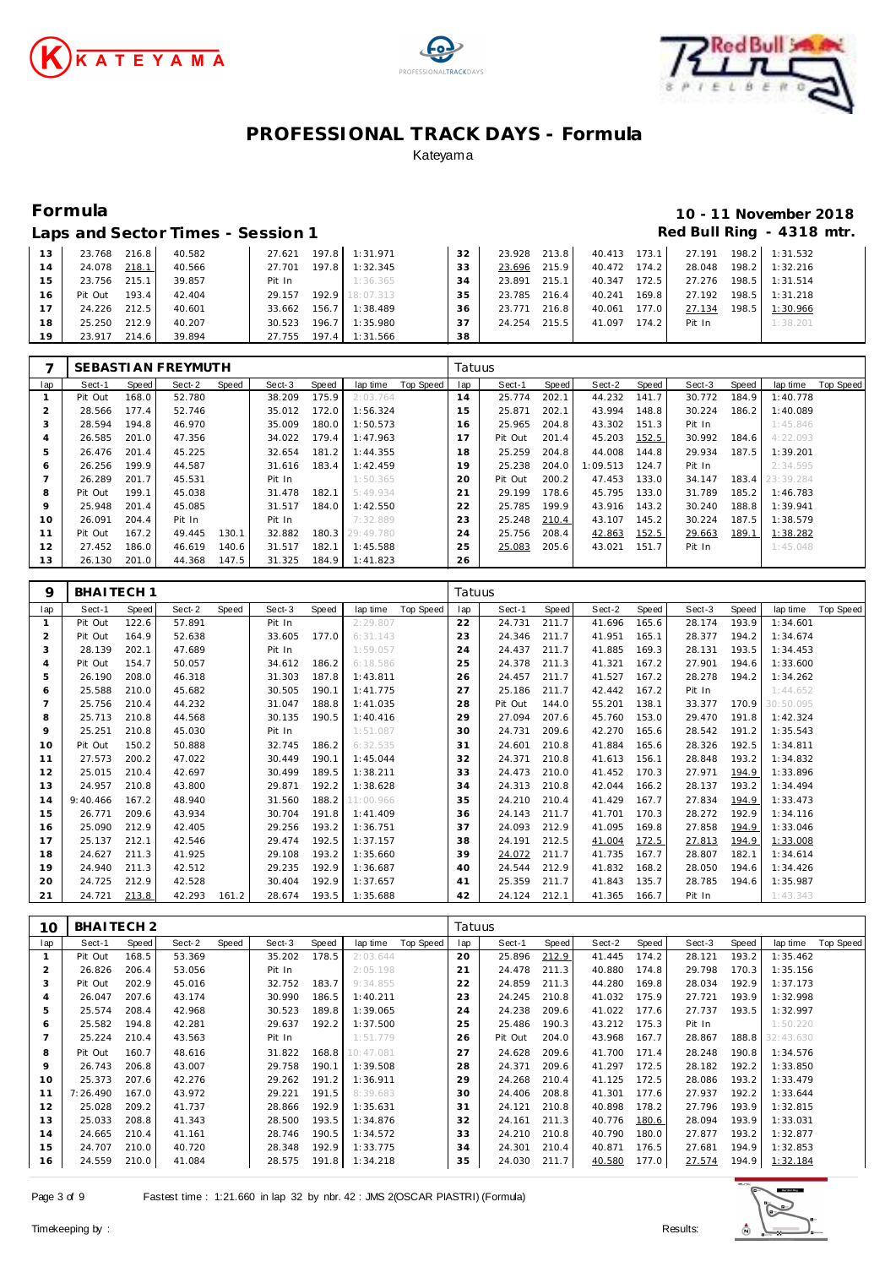





## **Formula 10 - 11 November 2018** Red Bull Ring - 4318 mtr.

|  | Laps and Sector Times - Session 1 |
|--|-----------------------------------|
|  |                                   |

| 13 | 23.768<br>216.8  | 40.582 | 27.621                | 197.8 1:31.971  | 32 | 23.928 213.8 |       | 40.413 173.1 |       | 27.191 |         | 198.2 1:31.532 |
|----|------------------|--------|-----------------------|-----------------|----|--------------|-------|--------------|-------|--------|---------|----------------|
| 14 | 218.1<br>24.078  | 40.566 | 27.701 197.8 1:32.345 |                 | 33 | 23.696       | 215.9 | 40.472       | 174.2 | 28.048 | $198.2$ | 1:32.216       |
| 15 | 215.1<br>23.756  | 39.857 | Pit In                | 1:36.365        | 34 | 23.891       | 215.1 | 40.347       | 172.5 | 27.276 | 198.5   | 1:31.514       |
| 16 | 193.4<br>Pit Out | 42.404 | 29.157                | 192.9 18:07.313 | 35 | 23.785 216.4 |       | 40.241       | 169.8 | 27.192 | 198.5   | 1:31.218       |
| 17 | 212.5<br>24.226  | 40.601 | 33.662                | 156.7 1:38.489  | 36 | 23.771 216.8 |       | 40.061       | 177.0 | 27.134 | 198.5   | 1:30.966       |
| 18 | 212.9<br>25.250  | 40.207 | 196.7<br>30.523       | 1:35.980        | 37 | 24.254 215.5 |       | 41.097 174.2 |       | Pit In |         | 1:38.201       |
| 19 | 214.6<br>23.917  | 39.894 | 27.755 197.4 1:31.566 |                 | 38 |              |       |              |       |        |         |                |

|     |         |       | SEBASTI AN FREYMUTH |       |        |       |           |           | Tatuus |         |       |          |                    |        |       |                 |           |
|-----|---------|-------|---------------------|-------|--------|-------|-----------|-----------|--------|---------|-------|----------|--------------------|--------|-------|-----------------|-----------|
| lap | Sect-1  | Speed | Sect-2              | Speed | Sect-3 | Speed | lap time  | Top Speed | lap    | Sect-1  | Speed | Sect-2   | Speed              | Sect-3 | Speed | lap time        | Top Speed |
|     | Pit Out | 168.0 | 52.780              |       | 38.209 | 175.9 | 2:03.764  |           | 14     | 25.774  | 202.1 | 44.232   | 141.7 <sub>1</sub> | 30.772 | 184.9 | 1:40.778        |           |
|     | 28.566  | 177.4 | 52.746              |       | 35.012 | 172.0 | 1:56.324  |           | 15     | 25.871  | 202.1 | 43.994   | 148.8              | 30.224 | 186.2 | 1:40.089        |           |
| 3   | 28.594  | 194.8 | 46.970              |       | 35.009 | 180.0 | 1:50.573  |           | 16     | 25.965  | 204.8 | 43.302   | 151.3              | Pit In |       | 1:45.846        |           |
| 4   | 26.585  | 201.0 | 47.356              |       | 34.022 | 179.4 | 1:47.963  |           | 17     | Pit Out | 201.4 | 45.203   | 152.5              | 30.992 | 184.6 | 4:22.093        |           |
| 5   | 26.476  | 201.4 | 45.225              |       | 32.654 | 181.2 | 1:44.355  |           | 18     | 25.259  | 204.8 | 44.008   | 144.8              | 29.934 | 187.5 | 1:39.201        |           |
| 6   | 26.256  | 199.9 | 44.587              |       | 31.616 | 183.4 | 1:42.459  |           | 19     | 25.238  | 204.0 | 1:09.513 | 124.7              | Pit In |       | 2:34.595        |           |
|     | 26.289  | 201.7 | 45.531              |       | Pit In |       | 1:50.365  |           | 20     | Pit Out | 200.2 | 47.453   | 133.0              | 34.147 |       | 183.4 23:39.284 |           |
| 8   | Pit Out | 199.1 | 45.038              |       | 31.478 | 182.1 | 5:49.934  |           | 21     | 29.199  | 178.6 | 45.795   | 133.0              | 31.789 | 185.2 | 1:46.783        |           |
| 9   | 25.948  | 201.4 | 45.085              |       | 31.517 | 184.0 | 1:42.550  |           | 22     | 25.785  | 199.9 | 43.916   | 143.2              | 30.240 | 188.8 | 1:39.941        |           |
| 10  | 26.091  | 204.4 | Pit In              |       | Pit In |       | 7:32.889  |           | 23     | 25.248  | 210.4 | 43.107   | 145.2              | 30.224 | 187.5 | 1:38.579        |           |
| 11  | Pit Out | 167.2 | 49.445              | 130.1 | 32.882 | 180.3 | 29:49.780 |           | 24     | 25.756  | 208.4 | 42.863   | 152.5              | 29.663 | 189.1 | 1:38.282        |           |
| 12  | 27.452  | 186.0 | 46.619              | 140.6 | 31.517 | 182.1 | 1:45.588  |           | 25     | 25.083  | 205.6 | 43.021   | 151.7              | Pit In |       | 1:45.048        |           |
| 13  | 26.130  | 201.0 | 44.368              | 147.5 | 31.325 | 184.9 | 1:41.823  |           | 26     |         |       |          |                    |        |       |                 |           |

| 9              | BHAITECH <sub>1</sub> |       |        |       |        |       |           |                  | Tatuus |         |              |        |       |        |       |           |           |
|----------------|-----------------------|-------|--------|-------|--------|-------|-----------|------------------|--------|---------|--------------|--------|-------|--------|-------|-----------|-----------|
| lap            | Sect-1                | Speed | Sect-2 | Speed | Sect-3 | Speed | lap time  | <b>Top Speed</b> | lap    | Sect-1  | <b>Speed</b> | Sect-2 | Speed | Sect-3 | Speed | lap time  | Top Speed |
| $\mathbf{1}$   | Pit Out               | 122.6 | 57.891 |       | Pit In |       | 2:29.807  |                  | 22     | 24.731  | 211.7        | 41.696 | 165.6 | 28.174 | 193.9 | 1:34.601  |           |
| $\overline{2}$ | Pit Out               | 164.9 | 52.638 |       | 33.605 | 177.0 | 6:31.143  |                  | 23     | 24.346  | 211.7        | 41.951 | 165.1 | 28.377 | 194.2 | 1:34.674  |           |
| 3              | 28.139                | 202.1 | 47.689 |       | Pit In |       | 1:59.057  |                  | 24     | 24.437  | 211.7        | 41.885 | 169.3 | 28.131 | 193.5 | 1:34.453  |           |
| $\overline{4}$ | Pit Out               | 154.7 | 50.057 |       | 34.612 | 186.2 | 6:18.586  |                  | 25     | 24.378  | 211.3        | 41.321 | 167.2 | 27.901 | 194.6 | 1:33.600  |           |
| 5              | 26.190                | 208.0 | 46.318 |       | 31.303 | 187.8 | 1:43.811  |                  | 26     | 24.457  | 211.7        | 41.527 | 167.2 | 28.278 | 194.2 | 1:34.262  |           |
| 6              | 25.588                | 210.0 | 45.682 |       | 30.505 | 190.1 | 1:41.775  |                  | 27     | 25.186  | 211.7        | 42.442 | 167.2 | Pit In |       | 1:44.652  |           |
| $\overline{7}$ | 25.756                | 210.4 | 44.232 |       | 31.047 | 188.8 | 1:41.035  |                  | 28     | Pit Out | 144.0        | 55.201 | 138.1 | 33.377 | 170.9 | 30:50.095 |           |
| 8              | 25.713                | 210.8 | 44.568 |       | 30.135 | 190.5 | 1:40.416  |                  | 29     | 27.094  | 207.6        | 45.760 | 153.0 | 29.470 | 191.8 | 1:42.324  |           |
| 9              | 25.251                | 210.8 | 45.030 |       | Pit In |       | 1:51.087  |                  | 30     | 24.731  | 209.6        | 42.270 | 165.6 | 28.542 | 191.2 | 1:35.543  |           |
| 10             | Pit Out               | 150.2 | 50.888 |       | 32.745 | 186.2 | 6:32.535  |                  | 31     | 24.601  | 210.8        | 41.884 | 165.6 | 28.326 | 192.5 | 1:34.811  |           |
| 11             | 27.573                | 200.2 | 47.022 |       | 30.449 | 190.1 | 1:45.044  |                  | 32     | 24.371  | 210.8        | 41.613 | 156.1 | 28.848 | 193.2 | 1:34.832  |           |
| 12             | 25.015                | 210.4 | 42.697 |       | 30.499 | 189.5 | 1:38.211  |                  | 33     | 24.473  | 210.0        | 41.452 | 170.3 | 27.971 | 194.9 | 1:33.896  |           |
| 13             | 24.957                | 210.8 | 43.800 |       | 29.871 | 192.2 | 1:38.628  |                  | 34     | 24.313  | 210.8        | 42.044 | 166.2 | 28.137 | 193.2 | 1:34.494  |           |
| 14             | 9:40.466              | 167.2 | 48.940 |       | 31.560 | 188.2 | 11:00.966 |                  | 35     | 24.210  | 210.4        | 41.429 | 167.7 | 27.834 | 194.9 | 1:33.473  |           |
| 15             | 26.771                | 209.6 | 43.934 |       | 30.704 | 191.8 | 1:41.409  |                  | 36     | 24.143  | 211.7        | 41.701 | 170.3 | 28.272 | 192.9 | 1:34.116  |           |
| 16             | 25.090                | 212.9 | 42.405 |       | 29.256 | 193.2 | 1:36.751  |                  | 37     | 24.093  | 212.9        | 41.095 | 169.8 | 27.858 | 194.9 | 1:33.046  |           |
| 17             | 25.137                | 212.1 | 42.546 |       | 29.474 | 192.5 | 1:37.157  |                  | 38     | 24.191  | 212.5        | 41.004 | 172.5 | 27.813 | 194.9 | 1:33.008  |           |
| 18             | 24.627                | 211.3 | 41.925 |       | 29.108 | 193.2 | 1:35.660  |                  | 39     | 24.072  | 211.7        | 41.735 | 167.7 | 28.807 | 182.1 | 1:34.614  |           |
| 19             | 24.940                | 211.3 | 42.512 |       | 29.235 | 192.9 | 1:36.687  |                  | 40     | 24.544  | 212.9        | 41.832 | 168.2 | 28.050 | 194.6 | 1:34.426  |           |
| 20             | 24.725                | 212.9 | 42.528 |       | 30.404 | 192.9 | 1:37.657  |                  | 41     | 25.359  | 211.7        | 41.843 | 135.7 | 28.785 | 194.6 | 1:35.987  |           |
| 21             | 24.721                | 213.8 | 42.293 | 161.2 | 28.674 | 193.5 | 1:35.688  |                  | 42     | 24.124  | 212.1        | 41.365 | 166.7 | Pit In |       | 1:43.343  |           |

| 10             | BHAITECH <sub>2</sub> |       |        |       |        |       |           |           | Tatuus |         |       |        |       |        |              |                 |                  |
|----------------|-----------------------|-------|--------|-------|--------|-------|-----------|-----------|--------|---------|-------|--------|-------|--------|--------------|-----------------|------------------|
| lap            | Sect-1                | Speed | Sect-2 | Speed | Sect-3 | Speed | lap time  | Top Speed | lap    | Sect-1  | Speed | Sect-2 | Speed | Sect-3 | <b>Speed</b> | lap time        | <b>Top Speed</b> |
|                | Pit Out               | 168.5 | 53.369 |       | 35.202 | 178.5 | 2:03.644  |           | 20     | 25.896  | 212.9 | 41.445 | 174.2 | 28.121 | 193.2        | 1:35.462        |                  |
| $\overline{2}$ | 26.826                | 206.4 | 53.056 |       | Pit In |       | 2:05.198  |           | 21     | 24.478  | 211.3 | 40.880 | 174.8 | 29.798 | 170.3        | 1:35.156        |                  |
| 3              | Pit Out               | 202.9 | 45.016 |       | 32.752 | 183.7 | 9:34.855  |           | 22     | 24.859  | 211.3 | 44.280 | 169.8 | 28.034 | 192.9        | 1:37.173        |                  |
| 4              | 26.047                | 207.6 | 43.174 |       | 30.990 | 186.5 | 1:40.211  |           | 23     | 24.245  | 210.8 | 41.032 | 175.9 | 27.721 | 193.9        | 1:32.998        |                  |
| 5              | 25.574                | 208.4 | 42.968 |       | 30.523 | 189.8 | 1:39.065  |           | 24     | 24.238  | 209.6 | 41.022 | 177.6 | 27.737 | 193.5        | 1:32.997        |                  |
| 6              | 25.582                | 194.8 | 42.281 |       | 29.637 | 192.2 | 1:37.500  |           | 25     | 25.486  | 190.3 | 43.212 | 175.3 | Pit In |              | 1:50.220        |                  |
|                | 25.224                | 210.4 | 43.563 |       | Pit In |       | 1:51.779  |           | 26     | Pit Out | 204.0 | 43.968 | 167.7 | 28.867 |              | 188.8 32:43.630 |                  |
| 8              | Pit Out               | 160.7 | 48.616 |       | 31.822 | 168.8 | 10:47.081 |           | 27     | 24.628  | 209.6 | 41.700 | 171.4 | 28.248 | 190.8        | 1:34.576        |                  |
| 9              | 26.743                | 206.8 | 43.007 |       | 29.758 | 190.1 | 1:39.508  |           | 28     | 24.371  | 209.6 | 41.297 | 172.5 | 28.182 | 192.2        | 1:33.850        |                  |
| 10             | 25.373                | 207.6 | 42.276 |       | 29.262 | 191.2 | 1:36.911  |           | 29     | 24.268  | 210.4 | 41.125 | 172.5 | 28.086 | 193.2        | 1:33.479        |                  |
| 11             | 7:26.490              | 167.0 | 43.972 |       | 29.221 | 191.5 | 8:39.683  |           | 30     | 24.406  | 208.8 | 41.301 | 177.6 | 27.937 | 192.2        | 1:33.644        |                  |
| 12             | 25.028                | 209.2 | 41.737 |       | 28.866 | 192.9 | 1:35.631  |           | 31     | 24.121  | 210.8 | 40.898 | 178.2 | 27.796 | 193.9        | 1:32.815        |                  |
| 13             | 25.033                | 208.8 | 41.343 |       | 28.500 | 193.5 | 1:34.876  |           | 32     | 24.161  | 211.3 | 40.776 | 180.6 | 28.094 | 193.9        | 1:33.031        |                  |
| 14             | 24.665                | 210.4 | 41.161 |       | 28.746 | 190.5 | 1:34.572  |           | 33     | 24.210  | 210.8 | 40.790 | 180.0 | 27.877 | 193.2        | 1:32.877        |                  |
| 15             | 24.707                | 210.0 | 40.720 |       | 28.348 | 192.9 | 1:33.775  |           | 34     | 24.301  | 210.4 | 40.871 | 176.5 | 27.681 | 194.9        | 1:32.853        |                  |
| 16             | 24.559                | 210.0 | 41.084 |       | 28.575 | 191.8 | 1:34.218  |           | 35     | 24.030  | 211.7 | 40.580 | 177.0 | 27.574 | 194.9        | 1:32.184        |                  |

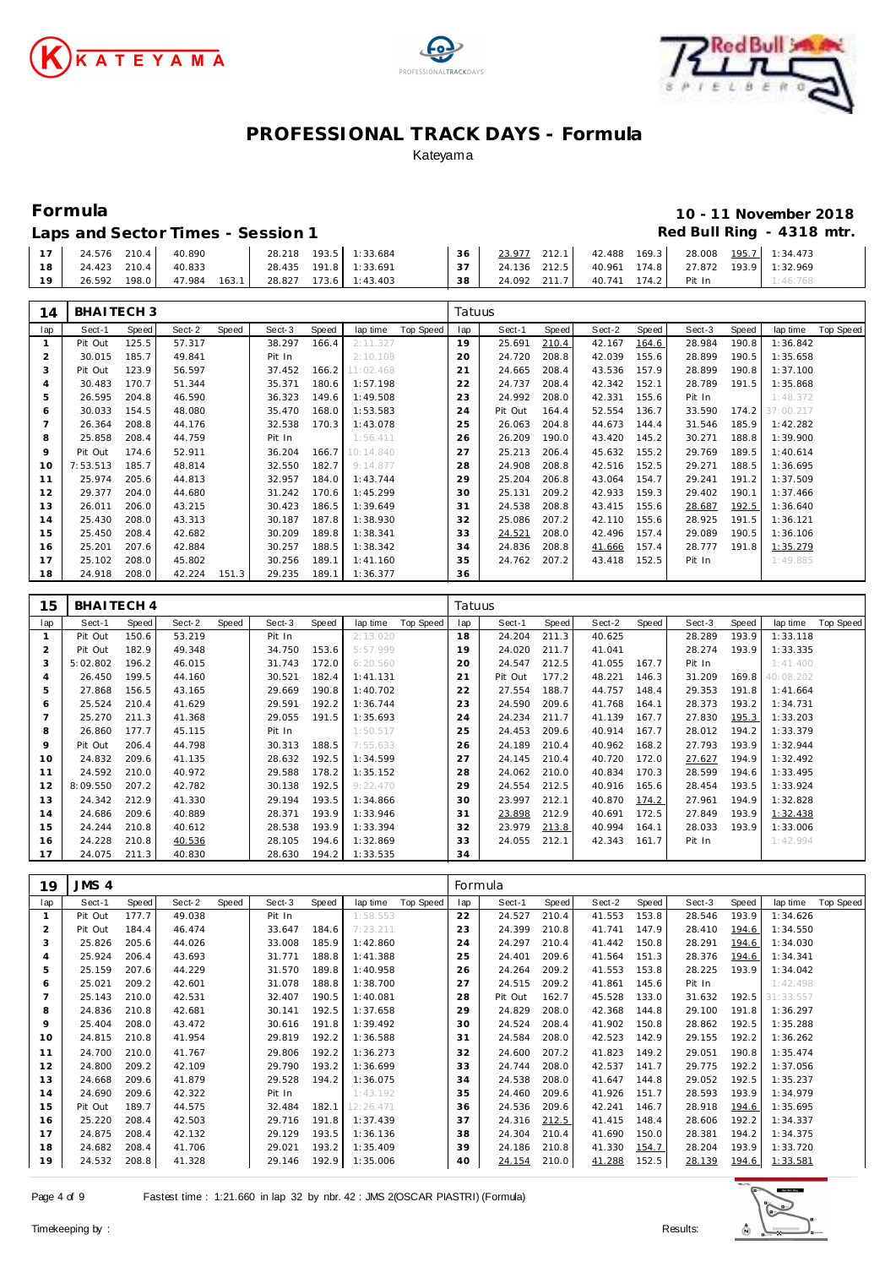





# **Formula 10 - 11 November 2018**

|    |  |                           | Laps and Sector Times - Session 1 |                       |  |                                                    |  | Red Bull Ring - 4318 |  |
|----|--|---------------------------|-----------------------------------|-----------------------|--|----------------------------------------------------|--|----------------------|--|
|    |  | 17 24.576 210.4 40.890    | 28.218 193.5 1:33.684             |                       |  | 36 23.977 212.1 42.488 169.3 28.008 195.7 1:34.473 |  |                      |  |
| 18 |  | 24.423 210.4 40.833       |                                   | 28.435 191.8 1:33.691 |  |                                                    |  |                      |  |
| 19 |  | 26.592 198.0 47.984 163.1 |                                   | 28.827 173.6 1:43.403 |  | 38 24.092 211.7 40.741 174.2 Pit In 1:46.768       |  |                      |  |

| 14  | BHAITECH <sub>3</sub> |       |        |       |        |       |           |           | Tatuus |         |       |        |       |        |       |           |           |
|-----|-----------------------|-------|--------|-------|--------|-------|-----------|-----------|--------|---------|-------|--------|-------|--------|-------|-----------|-----------|
| lap | Sect-1                | Speed | Sect-2 | Speed | Sect-3 | Speed | lap time  | Top Speed | lap    | Sect-1  | Speed | Sect-2 | Speed | Sect-3 | Speed | lap time  | Top Speed |
|     | Pit Out               | 125.5 | 57.317 |       | 38.297 | 166.4 | 2:11.327  |           | 19     | 25.691  | 210.4 | 42.167 | 164.6 | 28.984 | 190.8 | 1:36.842  |           |
|     | 30.015                | 185.7 | 49.841 |       | Pit In |       | 2:10.108  |           | 20     | 24.720  | 208.8 | 42.039 | 155.6 | 28.899 | 190.5 | 1:35.658  |           |
| 3   | Pit Out               | 123.9 | 56.597 |       | 37.452 | 166.2 | 11:02.468 |           | 21     | 24.665  | 208.4 | 43.536 | 157.9 | 28.899 | 190.8 | 1:37.100  |           |
| 4   | 30.483                | 170.7 | 51.344 |       | 35.371 | 180.6 | 1:57.198  |           | 22     | 24.737  | 208.4 | 42.342 | 152.1 | 28.789 | 191.5 | 1:35.868  |           |
| 5   | 26.595                | 204.8 | 46.590 |       | 36.323 | 149.6 | 1:49.508  |           | 23     | 24.992  | 208.0 | 42.331 | 155.6 | Pit In |       | 1:48.372  |           |
| 6   | 30.033                | 154.5 | 48.080 |       | 35.470 | 168.0 | 1:53.583  |           | 24     | Pit Out | 164.4 | 52.554 | 136.7 | 33.590 | 174.2 | 37:00.217 |           |
|     | 26.364                | 208.8 | 44.176 |       | 32.538 | 170.3 | 1:43.078  |           | 25     | 26.063  | 204.8 | 44.673 | 144.4 | 31.546 | 185.9 | 1:42.282  |           |
| 8   | 25.858                | 208.4 | 44.759 |       | Pit In |       | 1:56.411  |           | 26     | 26.209  | 190.0 | 43.420 | 145.2 | 30.271 | 188.8 | 1:39.900  |           |
| 9   | Pit Out               | 174.6 | 52.911 |       | 36.204 | 166.7 | 10:14.840 |           | 27     | 25.213  | 206.4 | 45.632 | 155.2 | 29.769 | 189.5 | 1:40.614  |           |
| 10  | 7:53.513              | 185.7 | 48.814 |       | 32.550 | 182.7 | 9:14.877  |           | 28     | 24.908  | 208.8 | 42.516 | 152.5 | 29.271 | 188.5 | 1:36.695  |           |
| 11  | 25.974                | 205.6 | 44.813 |       | 32.957 | 184.0 | 1:43.744  |           | 29     | 25.204  | 206.8 | 43.064 | 154.7 | 29.241 | 191.2 | 1:37.509  |           |
| 12  | 29.377                | 204.0 | 44.680 |       | 31.242 | 170.6 | 1:45.299  |           | 30     | 25.131  | 209.2 | 42.933 | 159.3 | 29.402 | 190.1 | 1:37.466  |           |
| 13  | 26.011                | 206.0 | 43.215 |       | 30.423 | 186.5 | 1:39.649  |           | 31     | 24.538  | 208.8 | 43.415 | 155.6 | 28.687 | 192.5 | 1:36.640  |           |
| 14  | 25.430                | 208.0 | 43.313 |       | 30.187 | 187.8 | 1:38.930  |           | 32     | 25.086  | 207.2 | 42.110 | 155.6 | 28.925 | 191.5 | 1:36.121  |           |
| 15  | 25.450                | 208.4 | 42.682 |       | 30.209 | 189.8 | 1:38.341  |           | 33     | 24.521  | 208.0 | 42.496 | 157.4 | 29.089 | 190.5 | 1:36.106  |           |
| 16  | 25.201                | 207.6 | 42.884 |       | 30.257 | 188.5 | 1:38.342  |           | 34     | 24.836  | 208.8 | 41.666 | 157.4 | 28.777 | 191.8 | 1:35.279  |           |
| 17  | 25.102                | 208.0 | 45.802 |       | 30.256 | 189.1 | 1:41.160  |           | 35     | 24.762  | 207.2 | 43.418 | 152.5 | Pit In |       | 1:49.885  |           |
| 18  | 24.918                | 208.0 | 42.224 | 151.3 | 29.235 | 189.1 | 1:36.377  |           | 36     |         |       |        |       |        |       |           |           |

| 15  | BHAITECH 4 |       |        |       |        |       |          |           | Tatuus |         |              |        |       |        |       |           |           |
|-----|------------|-------|--------|-------|--------|-------|----------|-----------|--------|---------|--------------|--------|-------|--------|-------|-----------|-----------|
| lap | Sect-1     | Speed | Sect-2 | Speed | Sect-3 | Speed | lap time | Top Speed | lap    | Sect-1  | <b>Speed</b> | Sect-2 | Speed | Sect-3 | Speed | lap time  | Top Speed |
|     | Pit Out    | 150.6 | 53.219 |       | Pit In |       | 2:13.020 |           | 18     | 24.204  | 211.3        | 40.625 |       | 28.289 | 193.9 | 1:33.118  |           |
| 2   | Pit Out    | 182.9 | 49.348 |       | 34.750 | 153.6 | 5:57.999 |           | 19     | 24.020  | 211.7        | 41.041 |       | 28.274 | 193.9 | 1:33.335  |           |
| 3   | 5:02.802   | 196.2 | 46.015 |       | 31.743 | 172.0 | 6:20.560 |           | 20     | 24.547  | 212.5        | 41.055 | 167.7 | Pit In |       | 1:41.400  |           |
| 4   | 26.450     | 199.5 | 44.160 |       | 30.521 | 182.4 | 1:41.131 |           | 21     | Pit Out | 177.2        | 48.221 | 146.3 | 31.209 | 169.8 | 40:08.202 |           |
| 5   | 27.868     | 156.5 | 43.165 |       | 29.669 | 190.8 | 1:40.702 |           | 22     | 27.554  | 188.7        | 44.757 | 148.4 | 29.353 | 191.8 | 1:41.664  |           |
| 6   | 25.524     | 210.4 | 41.629 |       | 29.591 | 192.2 | 1:36.744 |           | 23     | 24.590  | 209.6        | 41.768 | 164.1 | 28.373 | 193.2 | 1:34.731  |           |
|     | 25.270     | 211.3 | 41.368 |       | 29.055 | 191.5 | 1:35.693 |           | 24     | 24.234  | 211.7        | 41.139 | 167.7 | 27.830 | 195.3 | 1:33.203  |           |
| 8   | 26.860     | 177.7 | 45.115 |       | Pit In |       | 1:50.517 |           | 25     | 24.453  | 209.6        | 40.914 | 167.7 | 28.012 | 194.2 | 1:33.379  |           |
| 9   | Pit Out    | 206.4 | 44.798 |       | 30.313 | 188.5 | 7:55.633 |           | 26     | 24.189  | 210.4        | 40.962 | 168.2 | 27.793 | 193.9 | 1:32.944  |           |
| 10  | 24.832     | 209.6 | 41.135 |       | 28.632 | 192.5 | 1:34.599 |           | 27     | 24.145  | 210.4        | 40.720 | 172.0 | 27.627 | 194.9 | 1:32.492  |           |
| 11  | 24.592     | 210.0 | 40.972 |       | 29.588 | 178.2 | 1:35.152 |           | 28     | 24.062  | 210.0        | 40.834 | 170.3 | 28.599 | 194.6 | 1:33.495  |           |
| 12  | 8:09.550   | 207.2 | 42.782 |       | 30.138 | 192.5 | 9:22.470 |           | 29     | 24.554  | 212.5        | 40.916 | 165.6 | 28.454 | 193.5 | 1:33.924  |           |
| 13  | 24.342     | 212.9 | 41.330 |       | 29.194 | 193.5 | 1:34.866 |           | 30     | 23.997  | 212.1        | 40.870 | 174.2 | 27.961 | 194.9 | 1:32.828  |           |
| 14  | 24.686     | 209.6 | 40.889 |       | 28.371 | 193.9 | 1:33.946 |           | 31     | 23.898  | 212.9        | 40.691 | 172.5 | 27.849 | 193.9 | 1:32.438  |           |
| 15  | 24.244     | 210.8 | 40.612 |       | 28.538 | 193.9 | 1:33.394 |           | 32     | 23.979  | 213.8        | 40.994 | 164.1 | 28.033 | 193.9 | 1:33.006  |           |
| 16  | 24.228     | 210.8 | 40.536 |       | 28.105 | 194.6 | 1:32.869 |           | 33     | 24.055  | 212.1        | 42.343 | 161.7 | Pit In |       | 1:42.994  |           |
| 17  | 24.075     | 211.3 | 40.830 |       | 28.630 | 194.2 | 1:33.535 |           | 34     |         |              |        |       |        |       |           |           |

| 19  | JMS 4   |       |        |       |        |       |           |           | Formula |         |       |        |       |        |       |           |           |
|-----|---------|-------|--------|-------|--------|-------|-----------|-----------|---------|---------|-------|--------|-------|--------|-------|-----------|-----------|
| lap | Sect-1  | Speed | Sect-2 | Speed | Sect-3 | Speed | lap time  | Top Speed | lap     | Sect-1  | Speed | Sect-2 | Speed | Sect-3 | Speed | lap time  | Top Speed |
|     | Pit Out | 177.7 | 49.038 |       | Pit In |       | 1:58.553  |           | 22      | 24.527  | 210.4 | 41.553 | 153.8 | 28.546 | 193.9 | 1:34.626  |           |
| 2   | Pit Out | 184.4 | 46.474 |       | 33.647 | 184.6 | 7:23.211  |           | 23      | 24.399  | 210.8 | 41.741 | 147.9 | 28.410 | 194.6 | 1:34.550  |           |
| 3   | 25.826  | 205.6 | 44.026 |       | 33.008 | 185.9 | 1:42.860  |           | 24      | 24.297  | 210.4 | 41.442 | 150.8 | 28.291 | 194.6 | 1:34.030  |           |
| 4   | 25.924  | 206.4 | 43.693 |       | 31.771 | 188.8 | 1:41.388  |           | 25      | 24.401  | 209.6 | 41.564 | 151.3 | 28.376 | 194.6 | 1:34.341  |           |
| 5   | 25.159  | 207.6 | 44.229 |       | 31.570 | 189.8 | 1:40.958  |           | 26      | 24.264  | 209.2 | 41.553 | 153.8 | 28.225 | 193.9 | 1:34.042  |           |
| 6   | 25.021  | 209.2 | 42.601 |       | 31.078 | 188.8 | 1:38.700  |           | 27      | 24.515  | 209.2 | 41.861 | 145.6 | Pit In |       | 1:42.498  |           |
|     | 25.143  | 210.0 | 42.531 |       | 32.407 | 190.5 | 1:40.081  |           | 28      | Pit Out | 162.7 | 45.528 | 133.0 | 31.632 | 192.5 | 31:33.557 |           |
| 8   | 24.836  | 210.8 | 42.681 |       | 30.141 | 192.5 | 1:37.658  |           | 29      | 24.829  | 208.0 | 42.368 | 144.8 | 29.100 | 191.8 | 1:36.297  |           |
| 9   | 25.404  | 208.0 | 43.472 |       | 30.616 | 191.8 | 1:39.492  |           | 30      | 24.524  | 208.4 | 41.902 | 150.8 | 28.862 | 192.5 | 1:35.288  |           |
| 10  | 24.815  | 210.8 | 41.954 |       | 29.819 | 192.2 | 1:36.588  |           | 31      | 24.584  | 208.0 | 42.523 | 142.9 | 29.155 | 192.2 | 1:36.262  |           |
| 11  | 24.700  | 210.0 | 41.767 |       | 29.806 | 192.2 | 1:36.273  |           | 32      | 24.600  | 207.2 | 41.823 | 149.2 | 29.051 | 190.8 | 1:35.474  |           |
| 12  | 24.800  | 209.2 | 42.109 |       | 29.790 | 193.2 | 1:36.699  |           | 33      | 24.744  | 208.0 | 42.537 | 141.7 | 29.775 | 192.2 | 1:37.056  |           |
| 13  | 24.668  | 209.6 | 41.879 |       | 29.528 | 194.2 | 1:36.075  |           | 34      | 24.538  | 208.0 | 41.647 | 144.8 | 29.052 | 192.5 | 1:35.237  |           |
| 14  | 24.690  | 209.6 | 42.322 |       | Pit In |       | 1:43.192  |           | 35      | 24.460  | 209.6 | 41.926 | 151.7 | 28.593 | 193.9 | 1:34.979  |           |
| 15  | Pit Out | 189.7 | 44.575 |       | 32.484 | 182.1 | 12:26.471 |           | 36      | 24.536  | 209.6 | 42.241 | 146.7 | 28.918 | 194.6 | 1:35.695  |           |
| 16  | 25.220  | 208.4 | 42.503 |       | 29.716 | 191.8 | 1:37.439  |           | 37      | 24.316  | 212.5 | 41.415 | 148.4 | 28.606 | 192.2 | 1:34.337  |           |
| 17  | 24.875  | 208.4 | 42.132 |       | 29.129 | 193.5 | 1:36.136  |           | 38      | 24.304  | 210.4 | 41.690 | 150.0 | 28.381 | 194.2 | 1:34.375  |           |
| 18  | 24.682  | 208.4 | 41.706 |       | 29.021 | 193.2 | 1:35.409  |           | 39      | 24.186  | 210.8 | 41.330 | 154.7 | 28.204 | 193.9 | 1:33.720  |           |
| 19  | 24.532  | 208.8 | 41.328 |       | 29.146 | 192.9 | 1:35.006  |           | 40      | 24.154  | 210.0 | 41.288 | 152.5 | 28.139 | 194.6 | 1:33.581  |           |

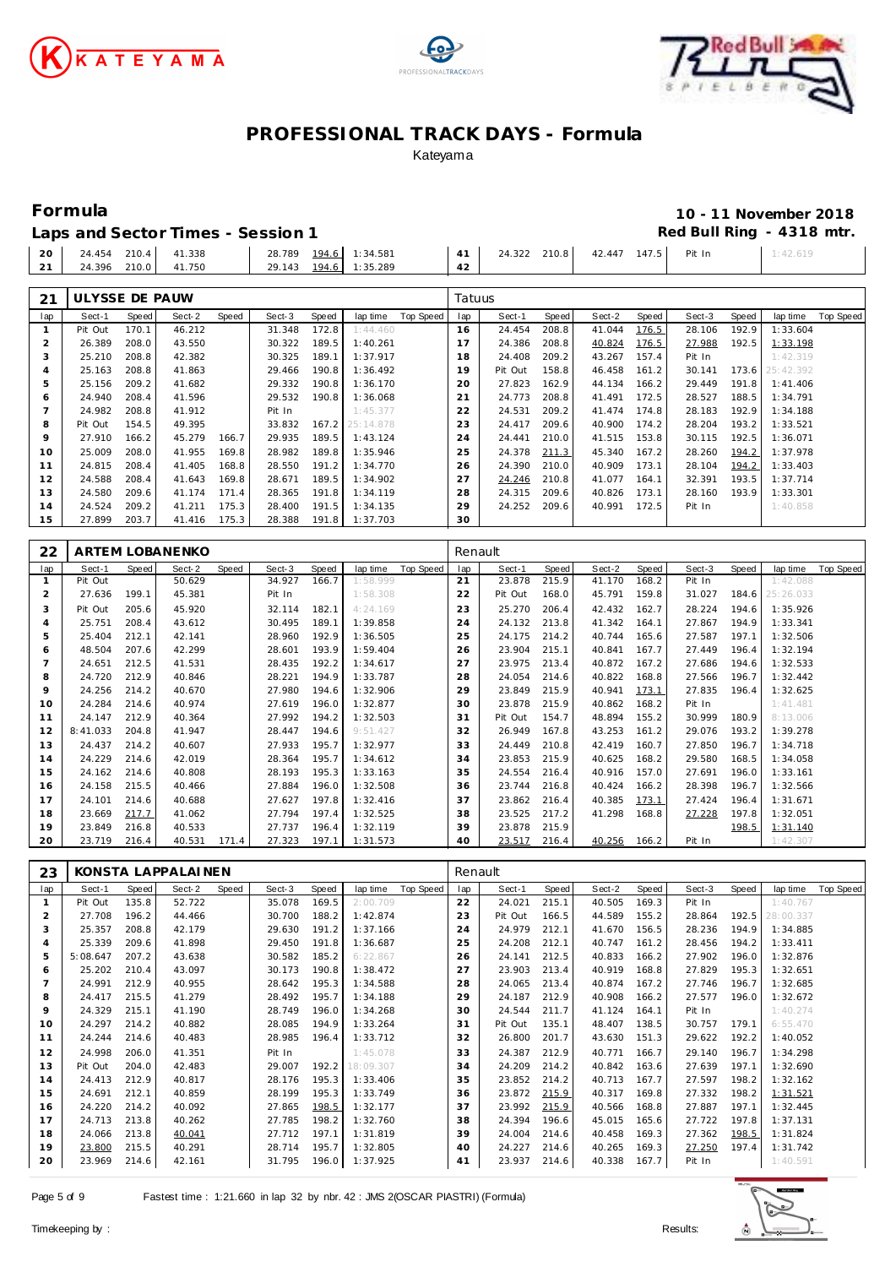





### **Formula 10 - 11 November 2018** Red Bull Ring - 4318 mtr.

| Laps and Sector Times - Session 1 |  |
|-----------------------------------|--|
|                                   |  |

|                        |  | Eapo and bootor innocent objects in |                                  |  |          |
|------------------------|--|-------------------------------------|----------------------------------|--|----------|
| 20 24.454 210.4 41.338 |  | 28.789 194.6 1:34.581               | 24.322 210.8 42.447 147.5 Pit In |  | 1:42.619 |
| 21 24.396 210.0 41.750 |  | 29.143 194.6 1:35.289               |                                  |  |          |

| 21  | ULYSSE DE PAUW |       |        |       |        |       |           |           | Tatuus |         |       |        |       |        |       |           |           |
|-----|----------------|-------|--------|-------|--------|-------|-----------|-----------|--------|---------|-------|--------|-------|--------|-------|-----------|-----------|
| lap | Sect-1         | Speed | Sect-2 | Speed | Sect-3 | Speed | lap time  | Top Speed | lap    | Sect-1  | Speed | Sect-2 | Speed | Sect-3 | Speed | lap time  | Top Speed |
|     | Pit Out        | 170.1 | 46.212 |       | 31.348 | 172.8 | 1:44.460  |           | 16     | 24.454  | 208.8 | 41.044 | 176.5 | 28.106 | 192.9 | 1:33.604  |           |
|     | 26.389         | 208.0 | 43.550 |       | 30.322 | 189.5 | 1:40.261  |           |        | 24.386  | 208.8 | 40.824 | 176.5 | 27.988 | 192.5 | 1:33.198  |           |
| 3   | 25.210         | 208.8 | 42.382 |       | 30.325 | 189.1 | 1:37.917  |           | 18     | 24.408  | 209.2 | 43.267 | 157.4 | Pit In |       | 1:42.319  |           |
| 4   | 25.163         | 208.8 | 41.863 |       | 29.466 | 190.8 | 1:36.492  |           | 19     | Pit Out | 158.8 | 46.458 | 161.2 | 30.141 | 173.6 | 25:42.392 |           |
| 5   | 25.156         | 209.2 | 41.682 |       | 29.332 | 190.8 | 1:36.170  |           | 20     | 27.823  | 162.9 | 44.134 | 166.2 | 29.449 | 191.8 | 1:41.406  |           |
| 6   | 24.940         | 208.4 | 41.596 |       | 29.532 | 190.8 | 1:36.068  |           | 21     | 24.773  | 208.8 | 41.491 | 172.5 | 28.527 | 188.5 | 1:34.791  |           |
|     | 24.982         | 208.8 | 41.912 |       | Pit In |       | 1:45.377  |           | 22     | 24.531  | 209.2 | 41.474 | 174.8 | 28.183 | 192.9 | 1:34.188  |           |
| 8   | Pit Out        | 154.5 | 49.395 |       | 33.832 | 167.2 | 25:14.878 |           | 23     | 24.417  | 209.6 | 40.900 | 174.2 | 28.204 | 193.2 | 1:33.521  |           |
| 9   | 27.910         | 166.2 | 45.279 | 166.7 | 29.935 | 189.5 | 1:43.124  |           | 24     | 24.441  | 210.0 | 41.515 | 153.8 | 30.115 | 192.5 | 1:36.071  |           |
| 10  | 25.009         | 208.0 | 41.955 | 169.8 | 28.982 | 189.8 | 1:35.946  |           | 25     | 24.378  | 211.3 | 45.340 | 167.2 | 28.260 | 194.2 | 1:37.978  |           |
| 11  | 24.815         | 208.4 | 41.405 | 168.8 | 28.550 | 191.2 | 1:34.770  |           | 26     | 24.390  | 210.0 | 40.909 | 173.1 | 28.104 | 194.2 | 1:33.403  |           |
| 12  | 24.588         | 208.4 | 41.643 | 169.8 | 28.671 | 189.5 | 1:34.902  |           | 27     | 24.246  | 210.8 | 41.077 | 164.1 | 32.391 | 193.5 | 1:37.714  |           |
| 13  | 24.580         | 209.6 | 41.174 | 171.4 | 28.365 | 191.8 | 1:34.119  |           | 28     | 24.315  | 209.6 | 40.826 | 173.1 | 28.160 | 193.9 | 1:33.301  |           |
| 14  | 24.524         | 209.2 | 41.211 | 175.3 | 28.400 | 191.5 | 1:34.135  |           | 29     | 24.252  | 209.6 | 40.991 | 172.5 | Pit In |       | 1:40.858  |           |
| 15  | 27.899         | 203.7 | 41.416 | 175.3 | 28.388 | 191.8 | 1:37.703  |           | 30     |         |       |        |       |        |       |           |           |

| 22             |          |              | ARTEM LOBANENKO |       |        |       |          |           | Renault         |         |       |        |       |        |       |           |           |
|----------------|----------|--------------|-----------------|-------|--------|-------|----------|-----------|-----------------|---------|-------|--------|-------|--------|-------|-----------|-----------|
| lap            | Sect-1   | <b>Speed</b> | Sect-2          | Speed | Sect-3 | Speed | lap time | Top Speed | lap             | Sect-1  | Speed | Sect-2 | Speed | Sect-3 | Speed | lap time  | Top Speed |
|                | Pit Out  |              | 50.629          |       | 34.927 | 166.7 | 1:58.999 |           | 21              | 23.878  | 215.9 | 41.170 | 168.2 | Pit In |       | 1:42.088  |           |
| 2              | 27.636   | 199.1        | 45.381          |       | Pit In |       | 1:58.308 |           | 22              | Pit Out | 168.0 | 45.791 | 159.8 | 31.027 | 184.6 | 25:26.033 |           |
| 3              | Pit Out  | 205.6        | 45.920          |       | 32.114 | 182.1 | 4:24.169 |           | 23              | 25.270  | 206.4 | 42.432 | 162.7 | 28.224 | 194.6 | 1:35.926  |           |
| 4              | 25.751   | 208.4        | 43.612          |       | 30.495 | 189.1 | 1:39.858 |           | 24              | 24.132  | 213.8 | 41.342 | 164.1 | 27.867 | 194.9 | 1:33.341  |           |
| 5              | 25.404   | 212.1        | 42.141          |       | 28.960 | 192.9 | 1:36.505 |           | 25              | 24.175  | 214.2 | 40.744 | 165.6 | 27.587 | 197.1 | 1:32.506  |           |
| 6              | 48.504   | 207.6        | 42.299          |       | 28.601 | 193.9 | 1:59.404 |           | 26              | 23.904  | 215.1 | 40.841 | 167.7 | 27.449 | 196.4 | 1:32.194  |           |
| $\overline{7}$ | 24.651   | 212.5        | 41.531          |       | 28.435 | 192.2 | 1:34.617 |           | 27              | 23.975  | 213.4 | 40.872 | 167.2 | 27.686 | 194.6 | 1:32.533  |           |
| 8              | 24.720   | 212.9        | 40.846          |       | 28.221 | 194.9 | 1:33.787 |           | 28              | 24.054  | 214.6 | 40.822 | 168.8 | 27.566 | 196.7 | 1:32.442  |           |
| 9              | 24.256   | 214.2        | 40.670          |       | 27.980 | 194.6 | 1:32.906 |           | 29              | 23.849  | 215.9 | 40.941 | 173.1 | 27.835 | 196.4 | 1:32.625  |           |
| 10             | 24.284   | 214.6        | 40.974          |       | 27.619 | 196.0 | 1:32.877 |           | 30              | 23.878  | 215.9 | 40.862 | 168.2 | Pit In |       | 1:41.481  |           |
| 11             | 24.147   | 212.9        | 40.364          |       | 27.992 | 194.2 | 1:32.503 |           | 31              | Pit Out | 154.7 | 48.894 | 155.2 | 30.999 | 180.9 | 8:13.006  |           |
| 12             | 8:41.033 | 204.8        | 41.947          |       | 28.447 | 194.6 | 9:51.427 |           | 32              | 26.949  | 167.8 | 43.253 | 161.2 | 29.076 | 193.2 | 1:39.278  |           |
| 13             | 24.437   | 214.2        | 40.607          |       | 27.933 | 195.7 | 1:32.977 |           | 33              | 24.449  | 210.8 | 42.419 | 160.7 | 27.850 | 196.7 | 1:34.718  |           |
| 14             | 24.229   | 214.6        | 42.019          |       | 28.364 | 195.7 | 1:34.612 |           | 34              | 23.853  | 215.9 | 40.625 | 168.2 | 29.580 | 168.5 | 1:34.058  |           |
| 15             | 24.162   | 214.6        | 40.808          |       | 28.193 | 195.3 | 1:33.163 |           | 35              | 24.554  | 216.4 | 40.916 | 157.0 | 27.691 | 196.0 | 1:33.161  |           |
| 16             | 24.158   | 215.5        | 40.466          |       | 27.884 | 196.0 | 1:32.508 |           | 36              | 23.744  | 216.8 | 40.424 | 166.2 | 28.398 | 196.7 | 1:32.566  |           |
| 17             | 24.101   | 214.6        | 40.688          |       | 27.627 | 197.8 | 1:32.416 |           | 37              | 23.862  | 216.4 | 40.385 | 173.1 | 27.424 | 196.4 | 1:31.671  |           |
| 18             | 23.669   | 217.7        | 41.062          |       | 27.794 | 197.4 | 1:32.525 |           | 38              | 23.525  | 217.2 | 41.298 | 168.8 | 27.228 | 197.8 | 1:32.051  |           |
| 19             | 23.849   | 216.8        | 40.533          |       | 27.737 | 196.4 | 1:32.119 |           | 39              | 23.878  | 215.9 |        |       |        | 198.5 | 1:31.140  |           |
| 20             | 23.719   | 216.4        | 40.531          | 171.4 | 27.323 | 197.1 | 1:31.573 |           | 40 <sup>2</sup> | 23.517  | 216.4 | 40.256 | 166.2 | Pit In |       | 1:42.307  |           |

| 23             |          |       | KONSTA LAPPALAINEN |       |        |       |           |           | Renault |         |       |        |       |        |       |           |           |
|----------------|----------|-------|--------------------|-------|--------|-------|-----------|-----------|---------|---------|-------|--------|-------|--------|-------|-----------|-----------|
| lap            | Sect-1   | Speed | Sect-2             | Speed | Sect-3 | Speed | lap time  | Top Speed | lap     | Sect-1  | Speed | Sect-2 | Speed | Sect-3 | Speed | lap time  | Top Speed |
|                | Pit Out  | 135.8 | 52.722             |       | 35.078 | 169.5 | 2:00.709  |           | 22      | 24.021  | 215.1 | 40.505 | 169.3 | Pit In |       | 1:40.767  |           |
| 2              | 27.708   | 196.2 | 44.466             |       | 30.700 | 188.2 | 1:42.874  |           | 23      | Pit Out | 166.5 | 44.589 | 155.2 | 28.864 | 192.5 | 28:00.337 |           |
| 3              | 25.357   | 208.8 | 42.179             |       | 29.630 | 191.2 | 1:37.166  |           | 24      | 24.979  | 212.1 | 41.670 | 156.5 | 28.236 | 194.9 | 1:34.885  |           |
| 4              | 25.339   | 209.6 | 41.898             |       | 29.450 | 191.8 | 1:36.687  |           | 25      | 24.208  | 212.1 | 40.747 | 161.2 | 28.456 | 194.2 | 1:33.411  |           |
| 5              | 5:08.647 | 207.2 | 43.638             |       | 30.582 | 185.2 | 6:22.867  |           | 26      | 24.141  | 212.5 | 40.833 | 166.2 | 27.902 | 196.0 | 1:32.876  |           |
| 6              | 25.202   | 210.4 | 43.097             |       | 30.173 | 190.8 | 1:38.472  |           | 27      | 23.903  | 213.4 | 40.919 | 168.8 | 27.829 | 195.3 | 1:32.651  |           |
| $\overline{7}$ | 24.991   | 212.9 | 40.955             |       | 28.642 | 195.3 | 1:34.588  |           | 28      | 24.065  | 213.4 | 40.874 | 167.2 | 27.746 | 196.7 | 1:32.685  |           |
| 8              | 24.417   | 215.5 | 41.279             |       | 28.492 | 195.7 | 1:34.188  |           | 29      | 24.187  | 212.9 | 40.908 | 166.2 | 27.577 | 196.0 | 1:32.672  |           |
| $\circ$        | 24.329   | 215.1 | 41.190             |       | 28.749 | 196.0 | 1:34.268  |           | 30      | 24.544  | 211.7 | 41.124 | 164.1 | Pit In |       | 1:40.274  |           |
| 10             | 24.297   | 214.2 | 40.882             |       | 28.085 | 194.9 | 1:33.264  |           | 31      | Pit Out | 135.1 | 48.407 | 138.5 | 30.757 | 179.1 | 6:55.470  |           |
| 11             | 24.244   | 214.6 | 40.483             |       | 28.985 | 196.4 | 1:33.712  |           | 32      | 26.800  | 201.7 | 43.630 | 151.3 | 29.622 | 192.2 | 1:40.052  |           |
| 12             | 24.998   | 206.0 | 41.351             |       | Pit In |       | 1:45.078  |           | 33      | 24.387  | 212.9 | 40.771 | 166.7 | 29.140 | 196.7 | 1:34.298  |           |
| 13             | Pit Out  | 204.0 | 42.483             |       | 29.007 | 192.2 | 18:09.307 |           | 34      | 24.209  | 214.2 | 40.842 | 163.6 | 27.639 | 197.1 | 1:32.690  |           |
| 14             | 24.413   | 212.9 | 40.817             |       | 28.176 | 195.3 | 1:33.406  |           | 35      | 23.852  | 214.2 | 40.713 | 167.7 | 27.597 | 198.2 | 1:32.162  |           |
| 15             | 24.691   | 212.1 | 40.859             |       | 28.199 | 195.3 | 1:33.749  |           | 36      | 23.872  | 215.9 | 40.317 | 169.8 | 27.332 | 198.2 | 1:31.521  |           |
| 16             | 24.220   | 214.2 | 40.092             |       | 27.865 | 198.5 | 1:32.177  |           | 37      | 23.992  | 215.9 | 40.566 | 168.8 | 27.887 | 197.1 | 1:32.445  |           |
| 17             | 24.713   | 213.8 | 40.262             |       | 27.785 | 198.2 | 1:32.760  |           | 38      | 24.394  | 196.6 | 45.015 | 165.6 | 27.722 | 197.8 | 1:37.131  |           |
| 18             | 24.066   | 213.8 | 40.041             |       | 27.712 | 197.1 | 1:31.819  |           | 39      | 24.004  | 214.6 | 40.458 | 169.3 | 27.362 | 198.5 | 1:31.824  |           |
| 19             | 23.800   | 215.5 | 40.291             |       | 28.714 | 195.7 | 1:32.805  |           | 40      | 24.227  | 214.6 | 40.265 | 169.3 | 27.250 | 197.4 | 1:31.742  |           |
| 20             | 23.969   | 214.6 | 42.161             |       | 31.795 | 196.0 | 1:37.925  |           | 41      | 23.937  | 214.6 | 40.338 | 167.7 | Pit In |       | 1:40.591  |           |

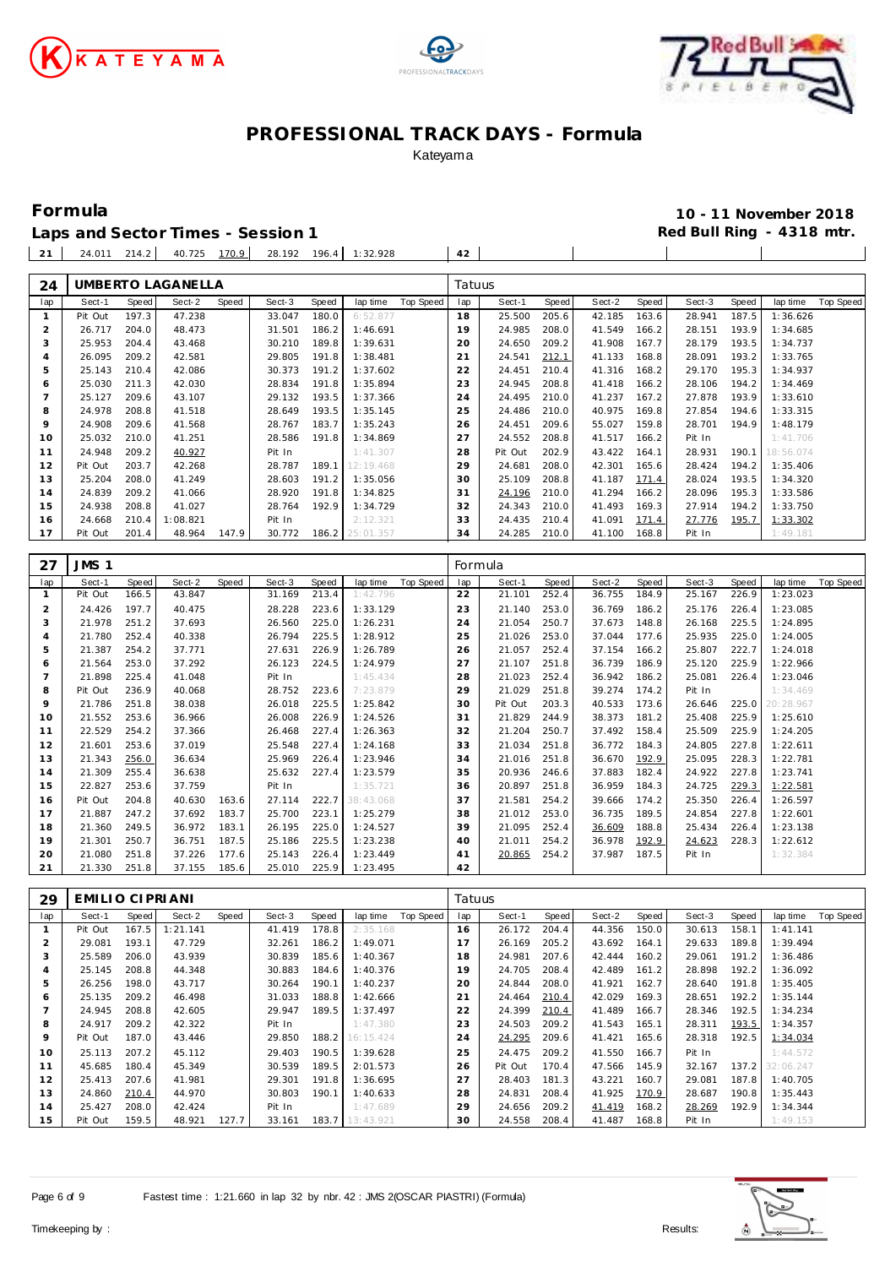





**Formula 10 - 11 November 2018**

 $\mathbb{R}^n$ 

Laps and Sector Times - Session 1 **Red Bull Ring - 4318 mtr. Red Bull Ring - 4318 mtr.** 24.011 214.2 40.725 170.9 28.192 196.4 1:32.928 **42**

| 24             |                 |              | UMBERTO LAGANELLA |       |        |       |           |                  | Tatuus  |         |              |        |       |        |       |           |           |
|----------------|-----------------|--------------|-------------------|-------|--------|-------|-----------|------------------|---------|---------|--------------|--------|-------|--------|-------|-----------|-----------|
| lap            | Sect-1          | Speed        | Sect-2            | Speed | Sect-3 | Speed | lap time  | <b>Top Speed</b> | lap     | Sect-1  | Speed        | Sect-2 | Speed | Sect-3 | Speed | lap time  | Top Speed |
| $\mathbf{1}$   | Pit Out         | 197.3        | 47.238            |       | 33.047 | 180.0 | 6:52.877  |                  | 18      | 25.500  | 205.6        | 42.185 | 163.6 | 28.941 | 187.5 | 1:36.626  |           |
| 2              | 26.717          | 204.0        | 48.473            |       | 31.501 | 186.2 | 1:46.691  |                  | 19      | 24.985  | 208.0        | 41.549 | 166.2 | 28.151 | 193.9 | 1:34.685  |           |
| 3              | 25.953          | 204.4        | 43.468            |       | 30.210 | 189.8 | 1:39.631  |                  | 20      | 24.650  | 209.2        | 41.908 | 167.7 | 28.179 | 193.5 | 1:34.737  |           |
| $\overline{4}$ | 26.095          | 209.2        | 42.581            |       | 29.805 | 191.8 | 1:38.481  |                  | 21      | 24.541  | 212.1        | 41.133 | 168.8 | 28.091 | 193.2 | 1:33.765  |           |
| 5              | 25.143          | 210.4        | 42.086            |       | 30.373 | 191.2 | 1:37.602  |                  | 22      | 24.451  | 210.4        | 41.316 | 168.2 | 29.170 | 195.3 | 1:34.937  |           |
| 6              | 25.030          | 211.3        | 42.030            |       | 28.834 | 191.8 | 1:35.894  |                  | 23      | 24.945  | 208.8        | 41.418 | 166.2 | 28.106 | 194.2 | 1:34.469  |           |
| $\overline{7}$ | 25.127          | 209.6        | 43.107            |       | 29.132 | 193.5 | 1:37.366  |                  | 24      | 24.495  | 210.0        | 41.237 | 167.2 | 27.878 | 193.9 | 1:33.610  |           |
| 8              | 24.978          | 208.8        | 41.518            |       | 28.649 | 193.5 | 1:35.145  |                  | 25      | 24.486  | 210.0        | 40.975 | 169.8 | 27.854 | 194.6 | 1:33.315  |           |
| 9              | 24.908          | 209.6        | 41.568            |       | 28.767 | 183.7 | 1:35.243  |                  | 26      | 24.451  | 209.6        | 55.027 | 159.8 | 28.701 | 194.9 | 1:48.179  |           |
| 10             | 25.032          | 210.0        | 41.251            |       | 28.586 | 191.8 | 1:34.869  |                  | 27      | 24.552  | 208.8        | 41.517 | 166.2 | Pit In |       | 1:41.706  |           |
| 11             | 24.948          | 209.2        | 40.927            |       | Pit In |       | 1:41.307  |                  | 28      | Pit Out | 202.9        | 43.422 | 164.1 | 28.931 | 190.1 | 18:56.074 |           |
| 12             | Pit Out         | 203.7        | 42.268            |       | 28.787 | 189.1 | 12:19.468 |                  | 29      | 24.681  | 208.0        | 42.301 | 165.6 | 28.424 | 194.2 | 1:35.406  |           |
| 13             | 25.204          | 208.0        | 41.249            |       | 28.603 | 191.2 | 1:35.056  |                  | 30      | 25.109  | 208.8        | 41.187 | 171.4 | 28.024 | 193.5 | 1:34.320  |           |
| 14             | 24.839          | 209.2        | 41.066            |       | 28.920 | 191.8 | 1:34.825  |                  | 31      | 24.196  | 210.0        | 41.294 | 166.2 | 28.096 | 195.3 | 1:33.586  |           |
| 15             | 24.938          | 208.8        | 41.027            |       | 28.764 | 192.9 | 1:34.729  |                  | 32      | 24.343  | 210.0        | 41.493 | 169.3 | 27.914 | 194.2 | 1:33.750  |           |
| 16             | 24.668          | 210.4        | 1:08.821          |       | Pit In |       | 2:12.321  |                  | 33      | 24.435  | 210.4        | 41.091 | 171.4 | 27.776 | 195.7 | 1:33.302  |           |
| 17             | Pit Out         | 201.4        | 48.964            | 147.9 | 30.772 | 186.2 | 25:01.357 |                  | 34      | 24.285  | 210.0        | 41.100 | 168.8 | Pit In |       | 1:49.181  |           |
|                |                 |              |                   |       |        |       |           |                  |         |         |              |        |       |        |       |           |           |
| 27             | JMS 1           |              |                   |       |        |       |           |                  | Formula |         |              |        |       |        |       |           |           |
| lap            | Sect-1          | <b>Speed</b> | Sect-2            | Speed | Sect-3 | Speed | lap time  | Top Speed        | lap     | Sect-1  | <b>Speed</b> | Sect-2 | Speed | Sect-3 | Speed | lap time  | Top Speed |
| $\mathbf{1}$   | Pit Out         | 166.5        | 43.847            |       | 31.169 | 213.4 | 1:42.796  |                  | 22      | 21.101  | 252.4        | 36.755 | 184.9 | 25.167 | 226.9 | 1:23.023  |           |
| 2              | 24.426          | 197.7        | 40.475            |       | 28.228 | 223.6 | 1:33.129  |                  | 23      | 21.140  | 253.0        | 36.769 | 186.2 | 25.176 | 226.4 | 1:23.085  |           |
| 3              | 21.978          | 251.2        | 37.693            |       | 26.560 | 225.0 | 1:26.231  |                  | 24      | 21.054  | 250.7        | 37.673 | 148.8 | 26.168 | 225.5 | 1:24.895  |           |
| $\overline{4}$ | 21.780          | 252.4        | 40.338            |       | 26.794 | 225.5 | 1:28.912  |                  | 25      | 21.026  | 253.0        | 37.044 | 177.6 | 25.935 | 225.0 | 1:24.005  |           |
| 5              | 21.387          | 254.2        | 37.771            |       | 27.631 | 226.9 | 1:26.789  |                  | 26      | 21.057  | 252.4        | 37.154 | 166.2 | 25.807 | 222.7 | 1:24.018  |           |
| 6              | 21.564          | 253.0        | 37.292            |       | 26.123 | 224.5 | 1:24.979  |                  | 27      | 21.107  | 251.8        | 36.739 | 186.9 | 25.120 | 225.9 | 1:22.966  |           |
| $\overline{7}$ | 21.898          | 225.4        | 41.048            |       | Pit In |       | 1:45.434  |                  | 28      | 21.023  | 252.4        | 36.942 | 186.2 | 25.081 | 226.4 | 1:23.046  |           |
| 8              | Pit Out         | 236.9        | 40.068            |       | 28.752 | 223.6 | 7:23.879  |                  | 29      | 21.029  | 251.8        | 39.274 | 174.2 | Pit In |       | 1:34.469  |           |
| 9              | 21.786          | 251.8        | 38.038            |       | 26.018 | 225.5 | 1:25.842  |                  | 30      | Pit Out | 203.3        | 40.533 | 173.6 | 26.646 | 225.0 | 20:28.967 |           |
| 10             | 21.552          | 253.6        | 36.966            |       | 26.008 | 226.9 | 1:24.526  |                  | 31      | 21.829  | 244.9        | 38.373 | 181.2 | 25.408 | 225.9 | 1:25.610  |           |
| 11             | 22.529          | 254.2        | 37.366            |       | 26.468 | 227.4 | 1:26.363  |                  | 32      | 21.204  | 250.7        | 37.492 | 158.4 | 25.509 | 225.9 | 1:24.205  |           |
| 12             | 21.601          | 253.6        | 37.019            |       | 25.548 | 227.4 | 1:24.168  |                  | 33      | 21.034  | 251.8        | 36.772 | 184.3 | 24.805 | 227.8 | 1:22.611  |           |
| 13             | 21.343          | 256.0        | 36.634            |       | 25.969 | 226.4 | 1:23.946  |                  | 34      | 21.016  | 251.8        | 36.670 | 192.9 | 25.095 | 228.3 | 1:22.781  |           |
| 14             | 21.309          | 255.4        | 36.638            |       | 25.632 | 227.4 | 1:23.579  |                  | 35      | 20.936  | 246.6        | 37.883 | 182.4 | 24.922 | 227.8 | 1:23.741  |           |
| 15             | 22.827          | 253.6        | 37.759            |       | Pit In |       | 1:35.721  |                  | 36      | 20.897  | 251.8        | 36.959 | 184.3 | 24.725 | 229.3 | 1:22.581  |           |
| 16             | Pit Out         | 204.8        | 40.630            | 163.6 | 27.114 | 222.7 | 38:43.068 |                  | 37      | 21.581  | 254.2        | 39.666 | 174.2 | 25.350 | 226.4 | 1:26.597  |           |
| 17             | 21.887          | 247.2        | 37.692            | 183.7 | 25.700 | 223.1 | 1:25.279  |                  | 38      | 21.012  | 253.0        | 36.735 | 189.5 | 24.854 | 227.8 | 1:22.601  |           |
| 18             | 21.360          | 249.5        | 36.972            | 183.1 | 26.195 | 225.0 | 1:24.527  |                  | 39      | 21.095  | 252.4        | 36.609 | 188.8 | 25.434 | 226.4 | 1:23.138  |           |
| 19             | 21.301          | 250.7        | 36.751            | 187.5 | 25.186 | 225.5 | 1:23.238  |                  | 40      | 21.011  | 254.2        | 36.978 | 192.9 | 24.623 | 228.3 | 1:22.612  |           |
| 20             | 21.080          | 251.8        | 37.226            | 177.6 | 25.143 | 226.4 | 1:23.449  |                  | 41      | 20.865  | 254.2        | 37.987 | 187.5 | Pit In |       | 1:32.384  |           |
| 21             | 21.330          | 251.8        | 37.155            | 185.6 | 25.010 | 225.9 | 1:23.495  |                  | 42      |         |              |        |       |        |       |           |           |
|                |                 |              |                   |       |        |       |           |                  |         |         |              |        |       |        |       |           |           |
| 29             | EMILIO CIPRIANI |              |                   |       |        |       |           |                  | Tatuus  |         |              |        |       |        |       |           |           |

| 29  | EMILIO CIPRIANI |       |          |       |        |       |                 |           | iatuus |         |       |        |       |        |       |           |           |
|-----|-----------------|-------|----------|-------|--------|-------|-----------------|-----------|--------|---------|-------|--------|-------|--------|-------|-----------|-----------|
| lap | Sect-1          | Speed | Sect-2   | Speed | Sect-3 | Speed | lap time        | Top Speed | lap    | Sect-1  | Speed | Sect-2 | Speed | Sect-3 | Speed | lap time  | Top Speed |
|     | Pit Out         | 167.5 | 1:21.141 |       | 41.419 | 178.8 | 2:35.168        |           | 16     | 26.172  | 204.4 | 44.356 | 150.0 | 30.613 | 158.1 | 1: 41.141 |           |
| 2   | 29.081          | 193.1 | 47.729   |       | 32.261 | 186.2 | 1:49.071        |           | 17     | 26.169  | 205.2 | 43.692 | 164.1 | 29.633 | 189.8 | 1:39.494  |           |
| 3   | 25.589          | 206.0 | 43.939   |       | 30.839 | 185.6 | 1:40.367        |           | 18     | 24.981  | 207.6 | 42.444 | 160.2 | 29.061 | 191.2 | 1:36.486  |           |
| 4   | 25.145          | 208.8 | 44.348   |       | 30.883 | 184.6 | 1:40.376        |           | 19     | 24.705  | 208.4 | 42.489 | 161.2 | 28.898 | 192.2 | 1:36.092  |           |
| 5   | 26.256          | 198.0 | 43.717   |       | 30.264 | 190.1 | 1:40.237        |           | 20     | 24.844  | 208.0 | 41.921 | 162.7 | 28.640 | 191.8 | 1:35.405  |           |
| 6   | 25.135          | 209.2 | 46.498   |       | 31.033 | 188.8 | 1:42.666        |           | 21     | 24.464  | 210.4 | 42.029 | 169.3 | 28.651 | 192.2 | 1:35.144  |           |
|     | 24.945          | 208.8 | 42.605   |       | 29.947 | 189.5 | 1:37.497        |           | 22     | 24.399  | 210.4 | 41.489 | 166.7 | 28.346 | 192.5 | 1:34.234  |           |
| 8   | 24.917          | 209.2 | 42.322   |       | Pit In |       | 1:47.380        |           | 23     | 24.503  | 209.2 | 41.543 | 165.1 | 28.311 | 193.5 | 1:34.357  |           |
| 9   | Pit Out         | 187.0 | 43.446   |       | 29.850 | 188.2 | 16:15.424       |           | 24     | 24.295  | 209.6 | 41.421 | 165.6 | 28.318 | 192.5 | 1:34.034  |           |
| 10  | 25.113          | 207.2 | 45.112   |       | 29.403 | 190.5 | 1:39.628        |           | 25     | 24.475  | 209.2 | 41.550 | 166.7 | Pit In |       | 1:44.572  |           |
| 11  | 45.685          | 180.4 | 45.349   |       | 30.539 | 189.5 | 2:01.573        |           | 26     | Pit Out | 170.4 | 47.566 | 145.9 | 32.167 | 137.2 | 32:06.247 |           |
| 12  | 25.413          | 207.6 | 41.981   |       | 29.301 | 191.8 | 1:36.695        |           | 27     | 28.403  | 181.3 | 43.221 | 160.7 | 29.081 | 187.8 | 1:40.705  |           |
| 13  | 24.860          | 210.4 | 44.970   |       | 30.803 | 190.1 | 1:40.633        |           | 28     | 24.831  | 208.4 | 41.925 | 170.9 | 28.687 | 190.8 | 1:35.443  |           |
| 14  | 25.427          | 208.0 | 42.424   |       | Pit In |       | 1:47.689        |           | 29     | 24.656  | 209.2 | 41.419 | 168.2 | 28.269 | 192.9 | 1:34.344  |           |
| 15  | Pit Out         | 159.5 | 48.921   | 127.7 | 33.161 |       | 183.7 13:43.921 |           | 30     | 24.558  | 208.4 | 41.487 | 168.8 | Pit In |       | 1:49.153  |           |

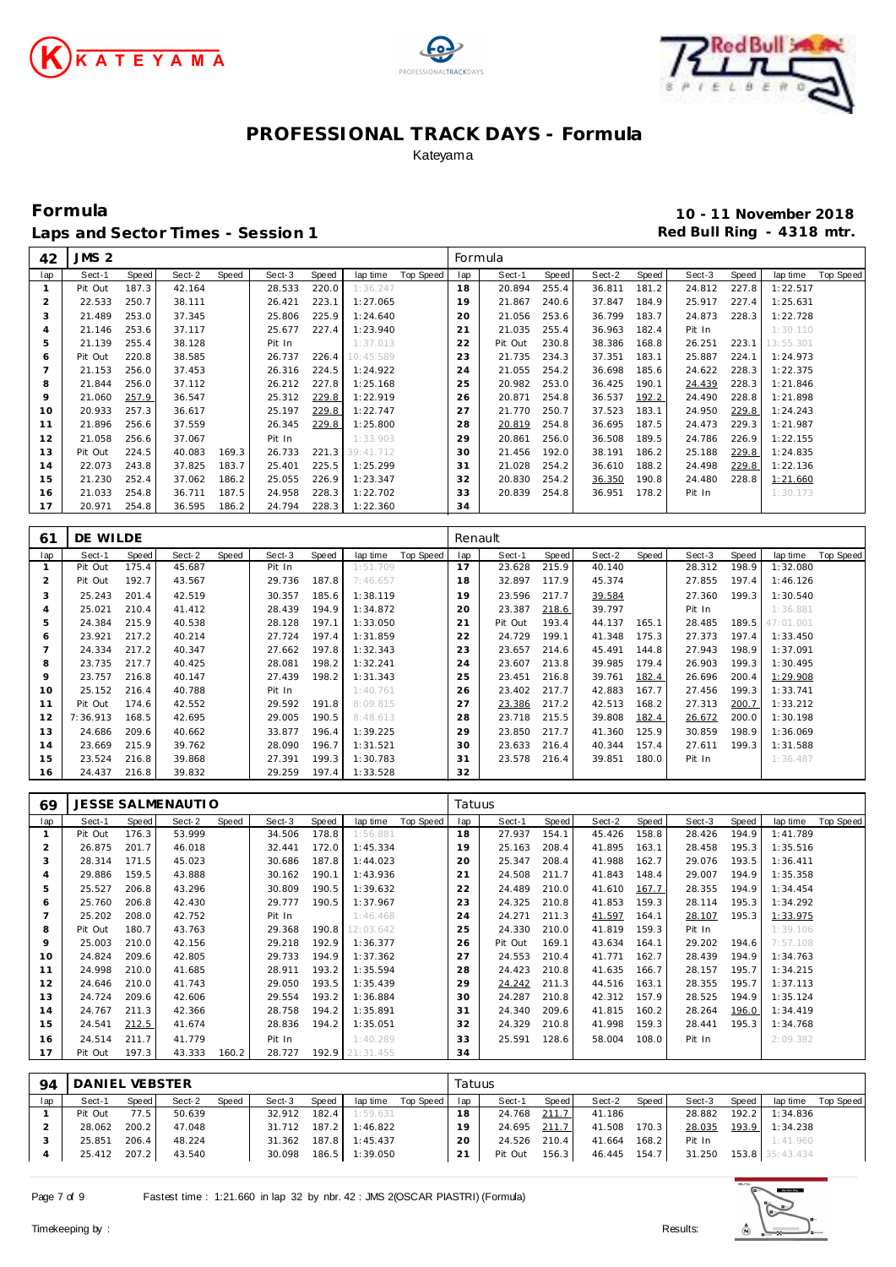





**Formula 10 - 11 November 2018** Laps and Sector Times - Session 1 **Red Bull Ring - 4318 mtr. Red Bull Ring - 4318 mtr.** 

|                | 42  | JMS <sub>2</sub> |       |        |       |        |       |           |           | Formula |         |       |        |       |        |       |           |                  |
|----------------|-----|------------------|-------|--------|-------|--------|-------|-----------|-----------|---------|---------|-------|--------|-------|--------|-------|-----------|------------------|
|                | lap | Sect-1           | Speed | Sect-2 | Speed | Sect-3 | Speed | lap time  | Top Speed | lap     | Sect-1  | Speed | Sect-2 | Speed | Sect-3 | Speed | lap time  | <b>Top Speed</b> |
| $\mathbf{1}$   |     | Pit Out          | 187.3 | 42.164 |       | 28.533 | 220.0 | 1:36.247  |           | 18      | 20.894  | 255.4 | 36.811 | 181.2 | 24.812 | 227.8 | 1:22.517  |                  |
| $\overline{2}$ |     | 22.533           | 250.7 | 38.111 |       | 26.421 | 223.1 | 1:27.065  |           | 19      | 21.867  | 240.6 | 37.847 | 184.9 | 25.917 | 227.4 | 1:25.631  |                  |
| 3              |     | 21.489           | 253.0 | 37.345 |       | 25.806 | 225.9 | 1:24.640  |           | 20      | 21.056  | 253.6 | 36.799 | 183.7 | 24.873 | 228.3 | 1:22.728  |                  |
| $\overline{4}$ |     | 21.146           | 253.6 | 37.117 |       | 25.677 | 227.4 | 1:23.940  |           | 21      | 21.035  | 255.4 | 36.963 | 182.4 | Pit In |       | 1:30.110  |                  |
| 5              |     | 21.139           | 255.4 | 38.128 |       | Pit In |       | 1:37.013  |           | 22      | Pit Out | 230.8 | 38.386 | 168.8 | 26.251 | 223.1 | 13:55.301 |                  |
| 6              |     | Pit Out          | 220.8 | 38.585 |       | 26.737 | 226.4 | 10:45.589 |           | 23      | 21.735  | 234.3 | 37.351 | 183.1 | 25.887 | 224.1 | 1:24.973  |                  |
| 7              |     | 21.153           | 256.0 | 37.453 |       | 26.316 | 224.5 | 1:24.922  |           | 24      | 21.055  | 254.2 | 36.698 | 185.6 | 24.622 | 228.3 | 1:22.375  |                  |
| 8              |     | 21.844           | 256.0 | 37.112 |       | 26.212 | 227.8 | 1:25.168  |           | 25      | 20.982  | 253.0 | 36.425 | 190.1 | 24.439 | 228.3 | 1:21.846  |                  |
| 9              |     | 21.060           | 257.9 | 36.547 |       | 25.312 | 229.8 | 1:22.919  |           | 26      | 20.871  | 254.8 | 36.537 | 192.2 | 24.490 | 228.8 | 1:21.898  |                  |
| 10             |     | 20.933           | 257.3 | 36.617 |       | 25.197 | 229.8 | 1:22.747  |           | 27      | 21.770  | 250.7 | 37.523 | 183.1 | 24.950 | 229.8 | 1:24.243  |                  |
| 11             |     | 21.896           | 256.6 | 37.559 |       | 26.345 | 229.8 | 1:25.800  |           | 28      | 20.819  | 254.8 | 36.695 | 187.5 | 24.473 | 229.3 | 1:21.987  |                  |
| 12             |     | 21.058           | 256.6 | 37.067 |       | Pit In |       | 1:33.903  |           | 29      | 20.861  | 256.0 | 36.508 | 189.5 | 24.786 | 226.9 | 1:22.155  |                  |
| 13             |     | Pit Out          | 224.5 | 40.083 | 169.3 | 26.733 | 221.3 | 39:41.712 |           | 30      | 21.456  | 192.0 | 38.191 | 186.2 | 25.188 | 229.8 | 1:24.835  |                  |
| 14             |     | 22.073           | 243.8 | 37.825 | 183.7 | 25.401 | 225.5 | 1:25.299  |           | 31      | 21.028  | 254.2 | 36.610 | 188.2 | 24.498 | 229.8 | 1:22.136  |                  |
| 15             |     | 21.230           | 252.4 | 37.062 | 186.2 | 25.055 | 226.9 | 1:23.347  |           | 32      | 20.830  | 254.2 | 36.350 | 190.8 | 24.480 | 228.8 | 1:21.660  |                  |
| 16             |     | 21.033           | 254.8 | 36.711 | 187.5 | 24.958 | 228.3 | 1:22.702  |           | 33      | 20.839  | 254.8 | 36.951 | 178.2 | Pit In |       | 1:30.173  |                  |
| 17             |     | 20.971           | 254.8 | 36.595 | 186.2 | 24.794 | 228.3 | 1:22.360  |           | 34      |         |       |        |       |        |       |           |                  |
|                |     |                  |       |        |       |        |       |           |           |         |         |       |        |       |        |       |           |                  |
| 61             |     | DE WILDE         |       |        |       |        |       |           |           | Renault |         |       |        |       |        |       |           |                  |
|                | lap | Sect-1           | Speed | Sect-2 | Speed | Sect-3 | Speed | lap time  | Top Speed | lap     | Sect-1  | Speed | Sect-2 | Speed | Sect-3 | Speed | lap time  | <b>Top Speed</b> |
| -1             |     | Pit Out          | 175.4 | 45.687 |       | Pit In |       | 1:51.709  |           | 17      | 23.628  | 215.9 | 40.140 |       | 28.312 | 198.9 | 1:32.080  |                  |
| 2              |     | Pit Out          | 192.7 | 43.567 |       | 29.736 | 187.8 | 7:46.657  |           | 18      | 32.897  | 117.9 | 45.374 |       | 27.855 | 197.4 | 1:46.126  |                  |
| 3              |     | 25.243           | 201.4 | 42.519 |       | 30.357 | 185.6 | 1:38.119  |           | 19      | 23.596  | 217.7 | 39.584 |       | 27.360 | 199.3 | 1:30.540  |                  |
| $\overline{4}$ |     | 25.021           | 210.4 | 41.412 |       | 28.439 | 194.9 | 1:34.872  |           | 20      | 23.387  | 218.6 | 39.797 |       | Pit In |       | 1:36.881  |                  |
| 5              |     | 24.384           | 215.9 | 40.538 |       | 28.128 | 197.1 | 1:33.050  |           | 21      | Pit Out | 193.4 | 44.137 | 165.1 | 28.485 | 189.5 | 47:01.001 |                  |
| 6              |     | 23.921           | 217.2 | 40.214 |       | 27.724 | 197.4 | 1:31.859  |           | 22      | 24.729  | 199.1 | 41.348 | 175.3 | 27.373 | 197.4 | 1:33.450  |                  |
| $\overline{7}$ |     | 24.334           | 217.2 | 40.347 |       | 27.662 | 197.8 | 1:32.343  |           | 23      | 23.657  | 214.6 | 45.491 | 144.8 | 27.943 | 198.9 | 1:37.091  |                  |
|                |     |                  |       |        |       |        |       |           |           |         |         |       |        |       |        |       |           |                  |

|    | 24.334   | 217.2 | 40.347 | 27.662 | 197.8 | 1:32.343 | 23 | 23.657 | 214.6 | 45.491<br>144.8  | 27.943 | 198.9 | 1:37.091 |
|----|----------|-------|--------|--------|-------|----------|----|--------|-------|------------------|--------|-------|----------|
| 8  | 23.735   | 217.7 | 40.425 | 28.081 | 198.2 | 1:32.241 | 24 | 23.607 | 213.8 | 39.985<br>179.4. | 26.903 | 199.3 | 1:30.495 |
|    | 23.757   | 216.8 | 40.147 | 27.439 | 198.2 | 1:31.343 | 25 | 23.451 | 216.8 | 39.761<br>182.4  | 26.696 | 200.4 | 1:29.908 |
| 10 | 25.152   | 216.4 | 40.788 | Pit In |       | 1:40.761 | 26 | 23.402 | 217.7 | 167.7<br>42.883  | 27.456 | 199.3 | 1:33.741 |
|    | Pit Out  | 174.6 | 42.552 | 29.592 | 191.8 | 8:09.815 | 27 | 23.386 | 217.2 | 42.513<br>168.2  | 27.313 | 200.7 | 1:33.212 |
| 12 | 7:36.913 | 168.5 | 42.695 | 29.005 | 190.5 | 8:48.613 | 28 | 23.718 | 215.5 | 39.808<br>182.4  | 26.672 | 200.0 | 1:30.198 |
| 13 | 24.686   | 209.6 | 40.662 | 33.877 | 196.4 | 1:39.225 | 29 | 23.850 | 217.7 | 41.360<br>125.9  | 30.859 | 198.9 | 1:36.069 |
| 14 | 23.669   | 215.9 | 39.762 | 28.090 | 196.7 | 1:31.521 | 30 | 23.633 | 216.4 | 157.4<br>40.344  | 27.611 | 199.3 | 1:31.588 |
| 15 | 23.524   | 216.8 | 39.868 | 27.391 | 199.3 | 1:30.783 | 31 | 23.578 | 216.4 | 39.851<br>180.0  | Pit In |       | 1:36.487 |
| 16 | 24.437   | 216.8 | 39.832 | 29.259 | 197.4 | 1:33.528 | 32 |        |       |                  |        |       |          |

| 69            |         |       | JESSE SALMENAUTI O |       |        |       |                 |           | Tatuus |         |       |        |       |        |       |          |           |
|---------------|---------|-------|--------------------|-------|--------|-------|-----------------|-----------|--------|---------|-------|--------|-------|--------|-------|----------|-----------|
| lap           | Sect-1  | Speed | Sect-2             | Speed | Sect-3 | Speed | lap time        | Top Speed | lap    | Sect-1  | Speed | Sect-2 | Speed | Sect-3 | Speed | lap time | Top Speed |
|               | Pit Out | 176.3 | 53.999             |       | 34.506 | 178.8 | 1:56.881        |           | 18     | 27.937  | 154.1 | 45.426 | 158.8 | 28.426 | 194.9 | 1:41.789 |           |
|               | 26.875  | 201.7 | 46.018             |       | 32.441 | 172.0 | 1:45.334        |           | 19     | 25.163  | 208.4 | 41.895 | 163.1 | 28.458 | 195.3 | 1:35.516 |           |
| 3             | 28.314  | 171.5 | 45.023             |       | 30.686 | 187.8 | 1:44.023        |           | 20     | 25.347  | 208.4 | 41.988 | 162.7 | 29.076 | 193.5 | 1:36.411 |           |
| 4             | 29.886  | 159.5 | 43.888             |       | 30.162 | 190.1 | 1:43.936        |           | 21     | 24.508  | 211.7 | 41.843 | 148.4 | 29.007 | 194.9 | 1:35.358 |           |
| 5             | 25.527  | 206.8 | 43.296             |       | 30.809 | 190.5 | 1:39.632        |           | 22     | 24.489  | 210.0 | 41.610 | 167.7 | 28.355 | 194.9 | 1:34.454 |           |
| 6             | 25.760  | 206.8 | 42.430             |       | 29.777 | 190.5 | 1:37.967        |           | 23     | 24.325  | 210.8 | 41.853 | 159.3 | 28.114 | 195.3 | 1:34.292 |           |
|               | 25.202  | 208.0 | 42.752             |       | Pit In |       | 1:46.468        |           | 24     | 24.271  | 211.3 | 41.597 | 164.1 | 28.107 | 195.3 | 1:33.975 |           |
| 8             | Pit Out | 180.7 | 43.763             |       | 29.368 | 190.8 | 12:03.642       |           | 25     | 24.330  | 210.0 | 41.819 | 159.3 | Pit In |       | 1:39.106 |           |
| 9             | 25.003  | 210.0 | 42.156             |       | 29.218 | 192.9 | 1:36.377        |           | 26     | Pit Out | 169.1 | 43.634 | 164.1 | 29.202 | 194.6 | 7:57.108 |           |
| 10            | 24.824  | 209.6 | 42.805             |       | 29.733 | 194.9 | 1:37.362        |           | 27     | 24.553  | 210.4 | 41.771 | 162.7 | 28.439 | 194.9 | 1:34.763 |           |
| 11            | 24.998  | 210.0 | 41.685             |       | 28.911 | 193.2 | 1:35.594        |           | 28     | 24.423  | 210.8 | 41.635 | 166.7 | 28.157 | 195.7 | 1:34.215 |           |
| 12            | 24.646  | 210.0 | 41.743             |       | 29.050 | 193.5 | 1:35.439        |           | 29     | 24.242  | 211.3 | 44.516 | 163.1 | 28.355 | 195.7 | 1:37.113 |           |
| 13            | 24.724  | 209.6 | 42.606             |       | 29.554 | 193.2 | 1:36.884        |           | 30     | 24.287  | 210.8 | 42.312 | 157.9 | 28.525 | 194.9 | 1:35.124 |           |
| 14            | 24.767  | 211.3 | 42.366             |       | 28.758 | 194.2 | 1:35.891        |           | 31     | 24.340  | 209.6 | 41.815 | 160.2 | 28.264 | 196.0 | 1:34.419 |           |
| 15            | 24.541  | 212.5 | 41.674             |       | 28.836 | 194.2 | 1:35.051        |           | 32     | 24.329  | 210.8 | 41.998 | 159.3 | 28.441 | 195.3 | 1:34.768 |           |
| 16            | 24.514  | 211.7 | 41.779             |       | Pit In |       | 1:40.289        |           | 33     | 25.591  | 128.6 | 58.004 | 108.0 | Pit In |       | 2:09.382 |           |
| 17            | Pit Out | 197.3 | 43.333             | 160.2 | 28.727 |       | 192.9 21:31.455 |           | 34     |         |       |        |       |        |       |          |           |
|               |         |       |                    |       |        |       |                 |           |        |         |       |        |       |        |       |          |           |
| $\sim$ $\sim$ | R       |       |                    |       |        |       |                 |           | $ -$   |         |       |        |       |        |       |          |           |

| $Q_{\mathcal{A}}$ | I DANIEL VEBSTER |       |        |       |              |       |                         |           | Tatuus |              |         |              |         |                          |       |                  |             |
|-------------------|------------------|-------|--------|-------|--------------|-------|-------------------------|-----------|--------|--------------|---------|--------------|---------|--------------------------|-------|------------------|-------------|
| lap               | Sect-1           | Speed | Sect-2 | Speed | Sect-3       | Speed | lap time                | Top Speed | lap    | Sect-1       | Speed   | Sect-2       | Speed I | Sect-3                   | Speed | lap time         | Top Speed I |
|                   | Pit Out          | 77.5  | 50.639 |       | 32.912 182.4 |       | 1:59.631                |           | 18     | 24.768       | 211.7   | 41.186       |         | 28.882                   | 192.2 | 1:34.836         |             |
|                   | 28.062           | 200.2 | 47.048 |       |              |       | 31.712 187.2 1:46.822   |           | 19     | 24.695 211.7 |         | 41.508       | 170.3   | 28.035                   |       | $193.9$ 1:34.238 |             |
|                   | 25.851           | 206.4 | 48.224 |       |              |       | 31.362 187.8 1:45.437   |           | 20     | 24.526       | 210.4 L | 41.664       | $168.2$ | Pit In                   |       | 1:41.960         |             |
|                   | 25.412 207.2     |       | 43.540 |       |              |       | 30.098  186.5  1:39.050 |           | 21     | Pit Out      | $156.3$ | 46.445 154.7 |         | 31.250  153.8  35:43.434 |       |                  |             |

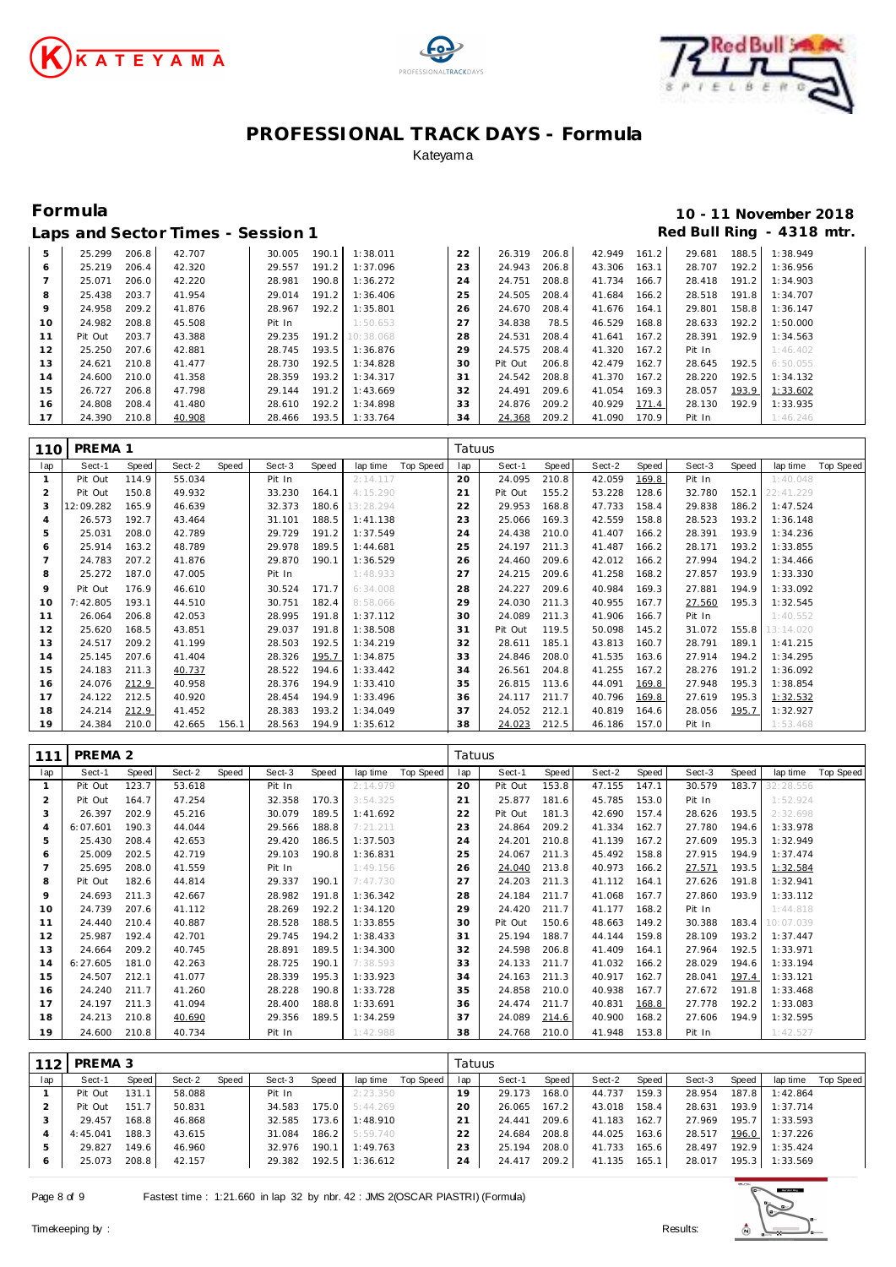





# **Formula 10 - 11 November 2018**

|     |         |       | Laps and Sector Times - Session 1 |        |       |           |    |         |       |        |       |        |       | Red Bull Ring - 4318 mtr. |
|-----|---------|-------|-----------------------------------|--------|-------|-----------|----|---------|-------|--------|-------|--------|-------|---------------------------|
| 5   | 25.299  | 206.8 | 42.707                            | 30.005 | 190.1 | 1:38.011  | 22 | 26.319  | 206.8 | 42.949 | 161.2 | 29.681 | 188.5 | 1:38.949                  |
| 6   | 25.219  | 206.4 | 42.320                            | 29.557 | 191.2 | 1:37.096  | 23 | 24.943  | 206.8 | 43.306 | 163.1 | 28.707 | 192.2 | 1:36.956                  |
|     | 25.071  | 206.0 | 42.220                            | 28.981 | 190.8 | 1:36.272  | 24 | 24.751  | 208.8 | 41.734 | 166.7 | 28.418 | 191.2 | 1:34.903                  |
| 8   | 25.438  | 203.7 | 41.954                            | 29.014 | 191.2 | 1:36.406  | 25 | 24.505  | 208.4 | 41.684 | 166.2 | 28.518 | 191.8 | 1:34.707                  |
| 9   | 24.958  | 209.2 | 41.876                            | 28.967 | 192.2 | 1:35.801  | 26 | 24.670  | 208.4 | 41.676 | 164.1 | 29.801 | 158.8 | 1:36.147                  |
| 10  | 24.982  | 208.8 | 45.508                            | Pit In |       | 1:50.653  | 27 | 34.838  | 78.5  | 46.529 | 168.8 | 28.633 | 192.2 | 1:50.000                  |
| 11  | Pit Out | 203.7 | 43.388                            | 29.235 | 191.2 | 10:38.068 | 28 | 24.531  | 208.4 | 41.641 | 167.2 | 28.391 | 192.9 | 1:34.563                  |
| 12  | 25.250  | 207.6 | 42.881                            | 28.745 | 193.5 | 1:36.876  | 29 | 24.575  | 208.4 | 41.320 | 167.2 | Pit In |       | 1:46.402                  |
| 13  | 24.621  | 210.8 | 41.477                            | 28.730 | 192.5 | 1:34.828  | 30 | Pit Out | 206.8 | 42.479 | 162.7 | 28.645 | 192.5 | 6:50.055                  |
| 14  | 24.600  | 210.0 | 41.358                            | 28.359 | 193.2 | 1:34.317  | 31 | 24.542  | 208.8 | 41.370 | 167.2 | 28.220 | 192.5 | 1:34.132                  |
| 15  | 26.727  | 206.8 | 47.798                            | 29.144 | 191.2 | 1:43.669  | 32 | 24.491  | 209.6 | 41.054 | 169.3 | 28.057 | 193.9 | 1:33.602                  |
| 16  | 24.808  | 208.4 | 41.480                            | 28.610 | 192.2 | 1:34.898  | 33 | 24.876  | 209.2 | 40.929 | 171.4 | 28.130 | 192.9 | 1:33.935                  |
| -17 | 24.390  | 210.8 | 40.908                            | 28.466 | 193.5 | 1:33.764  | 34 | 24.368  | 209.2 | 41.090 | 170.9 | Pit In |       | 1:46.246                  |

| 110 | PREMA <sub>1</sub> |       |        |       |        |       |           |           | Tatuus |         |       |        |       |        |       |           |           |
|-----|--------------------|-------|--------|-------|--------|-------|-----------|-----------|--------|---------|-------|--------|-------|--------|-------|-----------|-----------|
| lap | Sect-1             | Speed | Sect-2 | Speed | Sect-3 | Speed | lap time  | Top Speed | lap    | Sect-1  | Speed | Sect-2 | Speed | Sect-3 | Speed | lap time  | Top Speed |
|     | Pit Out            | 114.9 | 55.034 |       | Pit In |       | 2:14.117  |           | 20     | 24.095  | 210.8 | 42.059 | 169.8 | Pit In |       | 1:40.048  |           |
|     | Pit Out            | 150.8 | 49.932 |       | 33.230 | 164.1 | 4:15.290  |           | 21     | Pit Out | 155.2 | 53.228 | 128.6 | 32.780 | 152.1 | 22:41.229 |           |
|     | 12:09.282          | 165.9 | 46.639 |       | 32.373 | 180.6 | 13:28.294 |           | 22     | 29.953  | 168.8 | 47.733 | 158.4 | 29.838 | 186.2 | 1:47.524  |           |
| 4   | 26.573             | 192.7 | 43.464 |       | 31.101 | 188.5 | 1:41.138  |           | 23     | 25.066  | 169.3 | 42.559 | 158.8 | 28.523 | 193.2 | 1:36.148  |           |
| 5   | 25.031             | 208.0 | 42.789 |       | 29.729 | 191.2 | 1:37.549  |           | 24     | 24.438  | 210.0 | 41.407 | 166.2 | 28.391 | 193.9 | 1:34.236  |           |
| 6   | 25.914             | 163.2 | 48.789 |       | 29.978 | 189.5 | 1:44.681  |           | 25     | 24.197  | 211.3 | 41.487 | 166.2 | 28.171 | 193.2 | 1:33.855  |           |
|     | 24.783             | 207.2 | 41.876 |       | 29.870 | 190.1 | 1:36.529  |           | 26     | 24.460  | 209.6 | 42.012 | 166.2 | 27.994 | 194.2 | 1:34.466  |           |
| 8   | 25.272             | 187.0 | 47.005 |       | Pit In |       | 1:48.933  |           | 27     | 24.215  | 209.6 | 41.258 | 168.2 | 27.857 | 193.9 | 1:33.330  |           |
| 9   | Pit Out            | 176.9 | 46.610 |       | 30.524 | 171.7 | 6:34.008  |           | 28     | 24.227  | 209.6 | 40.984 | 169.3 | 27.881 | 194.9 | 1:33.092  |           |
| 10  | 7:42.805           | 193.1 | 44.510 |       | 30.751 | 182.4 | 8:58.066  |           | 29     | 24.030  | 211.3 | 40.955 | 167.7 | 27.560 | 195.3 | 1:32.545  |           |
| 11  | 26.064             | 206.8 | 42.053 |       | 28.995 | 191.8 | 1:37.112  |           | 30     | 24.089  | 211.3 | 41.906 | 166.7 | Pit In |       | 1:40.552  |           |
| 12  | 25.620             | 168.5 | 43.851 |       | 29.037 | 191.8 | 1:38.508  |           | 31     | Pit Out | 119.5 | 50.098 | 145.2 | 31.072 | 155.8 | 13:14.020 |           |
| 13  | 24.517             | 209.2 | 41.199 |       | 28.503 | 192.5 | 1:34.219  |           | 32     | 28.611  | 185.1 | 43.813 | 160.7 | 28.791 | 189.1 | 1:41.215  |           |
| 14  | 25.145             | 207.6 | 41.404 |       | 28.326 | 195.7 | 1:34.875  |           | 33     | 24.846  | 208.0 | 41.535 | 163.6 | 27.914 | 194.2 | 1:34.295  |           |
| 15  | 24.183             | 211.3 | 40.737 |       | 28.522 | 194.6 | 1:33.442  |           | 34     | 26.561  | 204.8 | 41.255 | 167.2 | 28.276 | 191.2 | 1:36.092  |           |
| 16  | 24.076             | 212.9 | 40.958 |       | 28.376 | 194.9 | 1:33.410  |           | 35     | 26.815  | 113.6 | 44.091 | 169.8 | 27.948 | 195.3 | 1:38.854  |           |
| 17  | 24.122             | 212.5 | 40.920 |       | 28.454 | 194.9 | 1:33.496  |           | 36     | 24.117  | 211.7 | 40.796 | 169.8 | 27.619 | 195.3 | 1:32.532  |           |
| 18  | 24.214             | 212.9 | 41.452 |       | 28.383 | 193.2 | 1:34.049  |           | 37     | 24.052  | 212.1 | 40.819 | 164.6 | 28.056 | 195.7 | 1:32.927  |           |
| 19  | 24.384             | 210.0 | 42.665 | 156.1 | 28.563 | 194.9 | 1:35.612  |           | 38     | 24.023  | 212.5 | 46.186 | 157.0 | Pit In |       | 1:53.468  |           |

| 111            | PREMA 2  |       |        |       |        |       |          |           | Tatuus |         |       |        |       |        |       |           |           |
|----------------|----------|-------|--------|-------|--------|-------|----------|-----------|--------|---------|-------|--------|-------|--------|-------|-----------|-----------|
| lap            | Sect-1   | Speed | Sect-2 | Speed | Sect-3 | Speed | lap time | Top Speed | lap    | Sect-1  | Speed | Sect-2 | Speed | Sect-3 | Speed | lap time  | Top Speed |
| $\mathbf{1}$   | Pit Out  | 123.7 | 53.618 |       | Pit In |       | 2:14.979 |           | 20     | Pit Out | 153.8 | 47.155 | 147.1 | 30.579 | 183.7 | 32:28.556 |           |
| $\overline{2}$ | Pit Out  | 164.7 | 47.254 |       | 32.358 | 170.3 | 3:54.325 |           | 21     | 25.877  | 181.6 | 45.785 | 153.0 | Pit In |       | 1:52.924  |           |
| 3              | 26.397   | 202.9 | 45.216 |       | 30.079 | 189.5 | 1:41.692 |           | 22     | Pit Out | 181.3 | 42.690 | 157.4 | 28.626 | 193.5 | 2:32.698  |           |
| $\overline{4}$ | 6:07.601 | 190.3 | 44.044 |       | 29.566 | 188.8 | 7:21.211 |           | 23     | 24.864  | 209.2 | 41.334 | 162.7 | 27.780 | 194.6 | 1:33.978  |           |
| 5              | 25.430   | 208.4 | 42.653 |       | 29.420 | 186.5 | 1:37.503 |           | 24     | 24.201  | 210.8 | 41.139 | 167.2 | 27.609 | 195.3 | 1:32.949  |           |
| 6              | 25.009   | 202.5 | 42.719 |       | 29.103 | 190.8 | 1:36.831 |           | 25     | 24.067  | 211.3 | 45.492 | 158.8 | 27.915 | 194.9 | 1:37.474  |           |
|                | 25.695   | 208.0 | 41.559 |       | Pit In |       | 1:49.156 |           | 26     | 24.040  | 213.8 | 40.973 | 166.2 | 27.571 | 193.5 | 1:32.584  |           |
| 8              | Pit Out  | 182.6 | 44.814 |       | 29.337 | 190.1 | 7:47.730 |           | 27     | 24.203  | 211.3 | 41.112 | 164.1 | 27.626 | 191.8 | 1:32.941  |           |
| $\circ$        | 24.693   | 211.3 | 42.667 |       | 28.982 | 191.8 | 1:36.342 |           | 28     | 24.184  | 211.7 | 41.068 | 167.7 | 27.860 | 193.9 | 1:33.112  |           |
| 10             | 24.739   | 207.6 | 41.112 |       | 28.269 | 192.2 | 1:34.120 |           | 29     | 24.420  | 211.7 | 41.177 | 168.2 | Pit In |       | 1:44.818  |           |
| 11             | 24.440   | 210.4 | 40.887 |       | 28.528 | 188.5 | 1:33.855 |           | 30     | Pit Out | 150.6 | 48.663 | 149.2 | 30.388 | 183.4 | 10:07.039 |           |
| 12             | 25.987   | 192.4 | 42.701 |       | 29.745 | 194.2 | 1:38.433 |           | 31     | 25.194  | 188.7 | 44.144 | 159.8 | 28.109 | 193.2 | 1:37.447  |           |
| 13             | 24.664   | 209.2 | 40.745 |       | 28.891 | 189.5 | 1:34.300 |           | 32     | 24.598  | 206.8 | 41.409 | 164.1 | 27.964 | 192.5 | 1:33.971  |           |
| 14             | 6:27.605 | 181.0 | 42.263 |       | 28.725 | 190.1 | 7:38.593 |           | 33     | 24.133  | 211.7 | 41.032 | 166.2 | 28.029 | 194.6 | 1:33.194  |           |
| 15             | 24.507   | 212.1 | 41.077 |       | 28.339 | 195.3 | 1:33.923 |           | 34     | 24.163  | 211.3 | 40.917 | 162.7 | 28.041 | 197.4 | 1:33.121  |           |
| 16             | 24.240   | 211.7 | 41.260 |       | 28.228 | 190.8 | 1:33.728 |           | 35     | 24.858  | 210.0 | 40.938 | 167.7 | 27.672 | 191.8 | 1:33.468  |           |
| 17             | 24.197   | 211.3 | 41.094 |       | 28.400 | 188.8 | 1:33.691 |           | 36     | 24.474  | 211.7 | 40.831 | 168.8 | 27.778 | 192.2 | 1:33.083  |           |
| 18             | 24.213   | 210.8 | 40.690 |       | 29.356 | 189.5 | 1:34.259 |           | 37     | 24.089  | 214.6 | 40.900 | 168.2 | 27.606 | 194.9 | 1:32.595  |           |
| 19             | 24.600   | 210.8 | 40.734 |       | Pit In |       | 1:42.988 |           | 38     | 24.768  | 210.0 | 41.948 | 153.8 | Pit In |       | 1:42.527  |           |

|     | PREMA 3  |       |        |       |        |       |          |           | Tatuus |        |        |        |       |        |       |          |           |
|-----|----------|-------|--------|-------|--------|-------|----------|-----------|--------|--------|--------|--------|-------|--------|-------|----------|-----------|
| lap | Sect-1   | Speed | Sect-2 | Speed | Sect-3 | Speed | lap time | Top Speed | lap    | Sect-1 | Speed. | Sect-2 | Speed | Sect-3 | Speed | lap time | Top Speed |
|     | Pit Out  | 131.1 | 58.088 |       | Pit In |       | 2:23.350 |           | 19     | 29.173 | 168.0  | 44.737 | 159.3 | 28.954 | 187.8 | 1:42.864 |           |
|     | Pit Out  | 151.7 | 50.831 |       | 34.583 | 175.0 | 5:44.269 |           | 20     | 26.065 | 167.2  | 43.018 | 158.4 | 28.631 | 193.9 | 1:37.714 |           |
|     | 29.457   | 168.8 | 46.868 |       | 32.585 | 173.6 | 1:48.910 |           | 21     | 24.441 | 209.6  | 41.183 | 162.7 | 27.969 | 195.7 | 1:33.593 |           |
|     | 4:45.041 | 188.3 | 43.615 |       | 31.084 | 186.2 | 5:59.740 |           | 22     | 24.684 | 208.8  | 44.025 | 163.6 | 28.517 | 196.0 | 1:37.226 |           |
|     | 29.827   | 149.6 | 46.960 |       | 32.976 | 190.1 | 1:49.763 |           | 23     | 25.194 | 208.0  | 41.733 | 165.6 | 28.497 | 192.9 | 1:35.424 |           |
| Ð   | 25.073   | 208.8 | 42.157 |       | 29.382 | 192.5 | 1:36.612 |           | 24     | 24.417 | 209.2  | 41.135 | 165.1 | 28.017 | 195.3 | 1:33.569 |           |